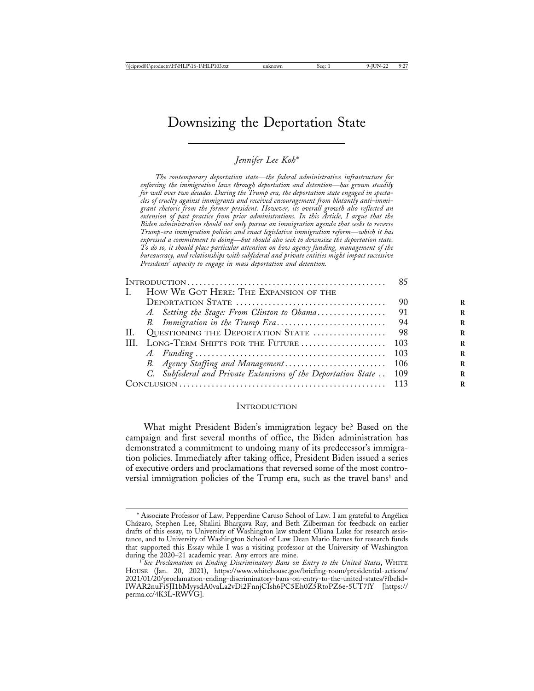# Downsizing the Deportation State

### *Jennifer Lee Koh\**

*The contemporary deportation state*—*the federal administrative infrastructure for enforcing the immigration laws through deportation and detention*—*has grown steadily for well over two decades. During the Trump era, the deportation state engaged in spectacles of cruelty against immigrants and received encouragement from blatantly anti-immigrant rhetoric from the former president. However, its overall growth also reflected an extension of past practice from prior administrations. In this Article, I argue that the Biden administration should not only pursue an immigration agenda that seeks to reverse Trump-era immigration policies and enact legislative immigration reform*—*which it has expressed a commitment to doing*—*but should also seek to downsize the deportation state. To do so, it should place particular attention on how agency funding, management of the bureaucracy, and relationships with subfederal and private entities might impact successive Presidents' capacity to engage in mass deportation and detention.*

| L. | HOW WE GOT HERE: THE EXPANSION OF THE                               |      |
|----|---------------------------------------------------------------------|------|
|    |                                                                     | 90   |
|    | A. Setting the Stage: From Clinton to Obama                         | 91   |
|    |                                                                     | -94  |
| H. |                                                                     |      |
|    |                                                                     |      |
|    |                                                                     |      |
|    |                                                                     |      |
|    | C. Subfederal and Private Extensions of the Deportation State . 109 |      |
|    |                                                                     | -113 |
|    |                                                                     |      |

### INTRODUCTION

What might President Biden's immigration legacy be? Based on the campaign and first several months of office, the Biden administration has demonstrated a commitment to undoing many of its predecessor's immigration policies. Immediately after taking office, President Biden issued a series of executive orders and proclamations that reversed some of the most controversial immigration policies of the Trump era, such as the travel bans<sup>1</sup> and

<sup>\*</sup> Associate Professor of Law, Pepperdine Caruso School of Law. I am grateful to Angélica Ch´azaro, Stephen Lee, Shalini Bhargava Ray, and Beth Zilberman for feedback on earlier drafts of this essay, to University of Washington law student Oliana Luke for research assistance, and to University of Washington School of Law Dean Mario Barnes for research funds that supported this Essay while I was a visiting professor at the University of Washington

<sup>&</sup>lt;sup>1</sup> See Proclamation on Ending Discriminatory Bans on Entry to the United States, WHITE HOUSE (Jan. 20, 2021), https://www.whitehouse.gov/briefing-room/presidential-actions/ 2021/01/20/proclamation-ending-discriminatory-bans-on-entry-to-the-united-states/?fbclid= IWAR2nuFi5JI1bMyysdA0vaLa2vDi2FnnjCIsh6PC5Eh0Z5RtoPZ6e-5UT7lY [https:// perma.cc/4K3L-RWVG].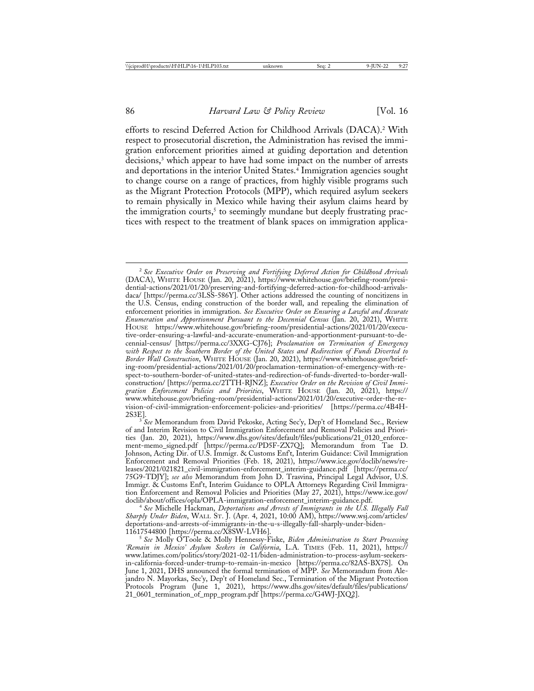efforts to rescind Deferred Action for Childhood Arrivals (DACA).2 With respect to prosecutorial discretion, the Administration has revised the immigration enforcement priorities aimed at guiding deportation and detention decisions,<sup>3</sup> which appear to have had some impact on the number of arrests and deportations in the interior United States.<sup>4</sup> Immigration agencies sought to change course on a range of practices, from highly visible programs such as the Migrant Protection Protocols (MPP), which required asylum seekers to remain physically in Mexico while having their asylum claims heard by the immigration courts, $5$  to seemingly mundane but deeply frustrating practices with respect to the treatment of blank spaces on immigration applica-

<sup>2</sup> *See Executive Order on Preserving and Fortifying Deferred Action for Childhood Arrivals* (DACA), WHITE HOUSE (Jan. 20, 2021), https://www.whitehouse.gov/briefing-room/presidential-actions/2021/01/20/preserving-and-fortifying-deferred-action-for-childhood-arrivalsdaca/ [https://perma.cc/3LSS-586Y]. Other actions addressed the counting of noncitizens in the U.S. Census, ending construction of the border wall, and repealing the elimination of enforcement priorities in immigration. *See Executive Order on Ensuring a Lawful and Accurate Enumeration and Apportionment Pursuant to the Decennial Census* (Jan. 20, 2021), WHITE HOUSE https://www.whitehouse.gov/briefing-room/presidential-actions/2021/01/20/executive-order-ensuring-a-lawful-and-accurate-enumeration-and-apportionment-pursuant-to-decennial-census/ [https://perma.cc/3XXG-CJ76]; *Proclamation on Termination of Emergency with Respect to the Southern Border of the United States and Redirection of Funds Diverted to Border Wall Construction*, WHITE HOUSE (Jan. 20, 2021), https://www.whitehouse.gov/briefing-room/presidential-actions/2021/01/20/proclamation-termination-of-emergency-with-respect-to-southern-border-of-united-states-and-redirection-of-funds-diverted-to-border-wallconstruction/ [https://perma.cc/2TTH-RJNZ]; *Executive Order on the Revision of Civil Immigration Enforcement Policies and Priorities*, WHITE HOUSE (Jan. 20, 2021), https:// www.whitehouse.gov/briefing-room/presidential-actions/2021/01/20/executive-order-the-revision-of-civil-immigration-enforcement-policies-and-priorities/ [https://perma.cc/4B4H-

<sup>&</sup>lt;sup>3</sup> See Memorandum from David Pekoske, Acting Sec'y, Dep't of Homeland Sec., Review of and Interim Revision to Civil Immigration Enforcement and Removal Policies and Priorities (Jan. 20, 2021), https://www.dhs.gov/sites/default/files/publications/21\_0120\_enforcement-memo\_signed.pdf [https://perma.cc/PD5F-ZX7Q]; Memorandum from Tae D. Johnson, Acting Dir. of U.S. Immigr. & Customs Enf't, Interim Guidance: Civil Immigration Enforcement and Removal Priorities (Feb. 18, 2021), https://www.ice.gov/doclib/news/releases/2021/021821\_civil-immigration-enforcement\_interim-guidance.pdf [https://perma.cc/ 75G9-TDJY]; *see also* Memorandum from John D. Trasvina, Principal Legal Advisor, U.S. Immigr. & Customs Enf't, Interim Guidance to OPLA Attorneys Regarding Civil Immigration Enforcement and Removal Policies and Priorities (May 27, 2021), https://www.ice.gov/<br>doclib/about/offices/opla/OPLA-immigration-enforcement\_interim-guidance.pdf.

doclib/about/offices/opla/OPLA-immigration-enforcement\_interim-guidance.pdf. <sup>4</sup> *See* Michelle Hackman, *Deportations and Arrests of Immigrants in the U.S. Illegally Fall Sharply Under Biden*, WALL ST. J. (Apr. 4, 2021, 10:00 AM), https://www.wsj.com/articles/ deportations-and-arrests-of-immigrants-in-the-u-s-illegally-fall-sharply-under-biden-

<sup>&</sup>lt;sup>5</sup> See Molly O'Toole & Molly Hennessy-Fiske, *Biden Administration to Start Processing 'Remain in Mexico' Asylum Seekers in California*, L.A. TIMES (Feb. 11, 2021), https:// www.latimes.com/politics/story/2021-02-11/biden-administration-to-process-asylum-seekersin-california-forced-under-trump-to-remain-in-mexico [https://perma.cc/82AS-BX7S]. On June 1, 2021, DHS announced the formal termination of MPP. *See* Memorandum from Alejandro N. Mayorkas, Sec'y, Dep't of Homeland Sec., Termination of the Migrant Protection Protocols Program (June 1, 2021), https://www.dhs.gov/sites/default/files/publications/ 21\_0601\_termination\_of\_mpp\_program.pdf [https://perma.cc/G4WJ-JXQ2].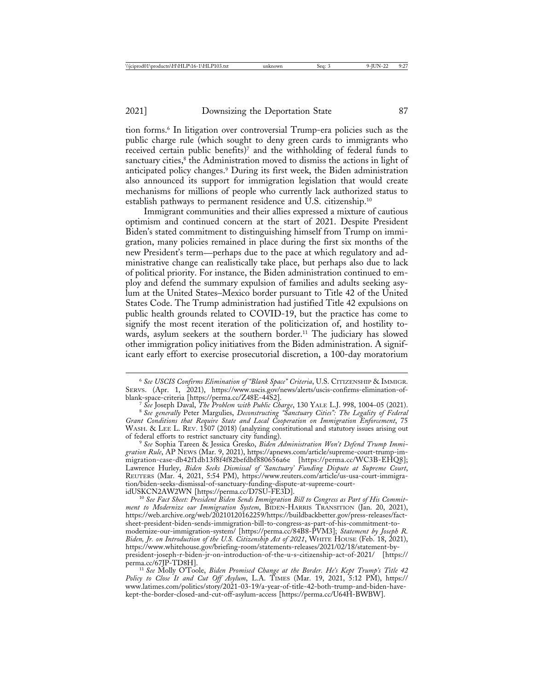tion forms.6 In litigation over controversial Trump-era policies such as the public charge rule (which sought to deny green cards to immigrants who received certain public benefits)<sup>7</sup> and the withholding of federal funds to sanctuary cities,<sup>8</sup> the Administration moved to dismiss the actions in light of anticipated policy changes.9 During its first week, the Biden administration also announced its support for immigration legislation that would create mechanisms for millions of people who currently lack authorized status to establish pathways to permanent residence and U.S. citizenship.<sup>10</sup>

Immigrant communities and their allies expressed a mixture of cautious optimism and continued concern at the start of 2021. Despite President Biden's stated commitment to distinguishing himself from Trump on immigration, many policies remained in place during the first six months of the new President's term—perhaps due to the pace at which regulatory and administrative change can realistically take place, but perhaps also due to lack of political priority. For instance, the Biden administration continued to employ and defend the summary expulsion of families and adults seeking asylum at the United States–Mexico border pursuant to Title 42 of the United States Code. The Trump administration had justified Title 42 expulsions on public health grounds related to COVID-19, but the practice has come to signify the most recent iteration of the politicization of, and hostility towards, asylum seekers at the southern border.<sup>11</sup> The judiciary has slowed other immigration policy initiatives from the Biden administration. A significant early effort to exercise prosecutorial discretion, a 100-day moratorium

<sup>6</sup> *See USCIS Confirms Elimination of "Blank Space" Criteria*, U.S. CITIZENSHIP & IMMIGR. SERVS. (Apr. 1, 2021), https://www.uscis.gov/news/alerts/uscis-confirms-elimination-of-

The See Joseph Daval, The Problem with Public Charge, 130 YALE L.J. 998, 1004–05 (2021).<br><sup>8</sup> See Joseph Daval, The Problem with Public Charge, 130 YALE L.J. 998, 1004–05 (2021).

*Grant Conditions that Require State and Local Cooperation on Immigration Enforcement*, 75 WASH. & LEE L. REV. 1507 (2018) (analyzing constitutional and statutory issues arising out of federal efforts to restrict sanctuary city funding). <sup>9</sup> *See* Sophia Tareen & Jessica Gresko, *Biden Administration Won't Defend Trump Immi-*

*gration Rule*, AP NEWS (Mar. 9, 2021), https://apnews.com/article/supreme-court-trump-immigration-case-db42f1db13f8f4f82befdbf880656a6e [https://perma.cc/WC3B-EHQ8]; Lawrence Hurley, *Biden Seeks Dismissal of 'Sanctuary' Funding Dispute at Supreme Court*, REUTERS (Mar. 4, 2021, 5:54 PM), https://www.reuters.com/article/us-usa-court-immigration/biden-seeks-dismissal-of-sanctuary-funding-dispute-at-supreme-court-

<sup>10</sup> See Fact Sheet: President Biden Sends Immigration Bill to Congress as Part of His Commit*ment to Modernize our Immigration System*, BIDEN-HARRIS TRANSITION (Jan. 20, 2021), https://web.archive.org/web/20210120162259/https://buildbackbetter.gov/press-releases/factsheet-president-biden-sends-immigration-bill-to-congress-as-part-of-his-commitment-tomodernize-our-immigration-system/ [https://perma.cc/84B8-PVM3]; *Statement by Joseph R. Biden, Jr. on Introduction of the U.S. Citizenship Act of 2021*, WHITE HOUSE (Feb. 18, 2021), https://www.whitehouse.gov/briefing-room/statements-releases/2021/02/18/statement-bypresident-joseph-r-biden-jr-on-introduction-of-the-u-s-citizenship-act-of-2021/ [https://

<sup>11</sup> See Molly O'Toole, *Biden Promised Change at the Border. He's Kept Trump's Title 42 Policy to Close It and Cut Off Asylum*, L.A. TIMES (Mar. 19, 2021, 5:12 PM), https:// www.latimes.com/politics/story/2021-03-19/a-year-of-title-42-both-trump-and-biden-havekept-the-border-closed-and-cut-off-asylum-access [https://perma.cc/U64H-BWBW].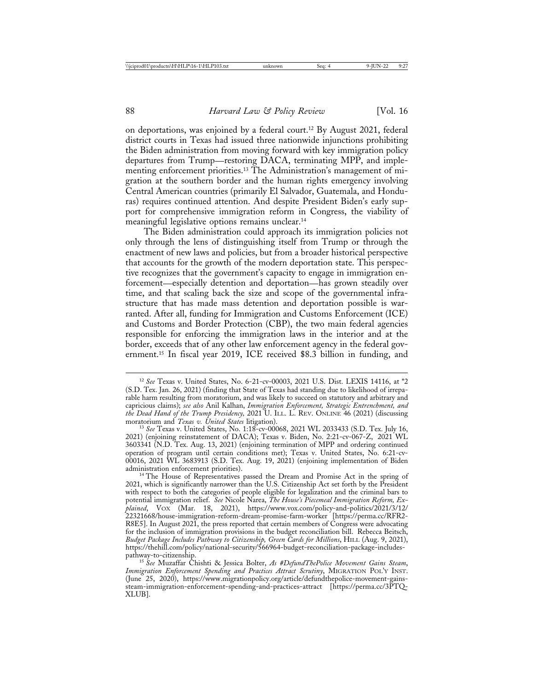on deportations, was enjoined by a federal court.12 By August 2021, federal district courts in Texas had issued three nationwide injunctions prohibiting the Biden administration from moving forward with key immigration policy departures from Trump—restoring DACA, terminating MPP, and implementing enforcement priorities.13 The Administration's management of migration at the southern border and the human rights emergency involving Central American countries (primarily El Salvador, Guatemala, and Honduras) requires continued attention. And despite President Biden's early support for comprehensive immigration reform in Congress, the viability of meaningful legislative options remains unclear.14

The Biden administration could approach its immigration policies not only through the lens of distinguishing itself from Trump or through the enactment of new laws and policies, but from a broader historical perspective that accounts for the growth of the modern deportation state. This perspective recognizes that the government's capacity to engage in immigration enforcement—especially detention and deportation—has grown steadily over time, and that scaling back the size and scope of the governmental infrastructure that has made mass detention and deportation possible is warranted. After all, funding for Immigration and Customs Enforcement (ICE) and Customs and Border Protection (CBP), the two main federal agencies responsible for enforcing the immigration laws in the interior and at the border, exceeds that of any other law enforcement agency in the federal government.15 In fiscal year 2019, ICE received \$8.3 billion in funding, and

<sup>13</sup> See Texas v. United States, No. 1:18-cv-00068, 2021 WL 2033433 (S.D. Tex. July 16, 2021) (enjoining reinstatement of DACA); Texas v. Biden, No. 2:21-cv-067-Z, 2021 WL 3603341 (N.D. Tex. Aug. 13, 2021) (enjoining termination of MPP and ordering continued operation of program until certain conditions met); Texas v. United States, No. 6:21-cv-00016, 2021 WL 3683913 (S.D. Tex. Aug. 19, 2021) (enjoining implementation of Biden administration enforcement priorities). <sup>14</sup> The House of Representatives passed the Dream and Promise Act in the spring of

2021, which is significantly narrower than the U.S. Citizenship Act set forth by the President with respect to both the categories of people eligible for legalization and the criminal bars to potential immigration relief. *See* Nicole Narea, *The House's Piecemeal Immigration Reform, Explained*, VOX (Mar. 18, 2021), https://www.vox.com/policy-and-politics/2021/3/12/ 22321668/house-immigration-reform-dream-promise-farm-worker [https://perma.cc/RFR2- R8E5]. In August 2021, the press reported that certain members of Congress were advocating for the inclusion of immigration provisions in the budget reconciliation bill. Rebecca Beitsch, *Budget Package Includes Pathway to Citizenship, Green Cards for Millions*, HILL (Aug. 9, 2021), https://thehill.com/policy/national-security/566964-budget-reconciliation-package-includes-

<sup>12</sup> *See* Texas v. United States, No. 6-21-cv-00003, 2021 U.S. Dist. LEXIS 14116, at \*2 (S.D. Tex. Jan. 26, 2021) (finding that State of Texas had standing due to likelihood of irreparable harm resulting from moratorium, and was likely to succeed on statutory and arbitrary and capricious claims); *see also* Anil Kalhan, *Immigration Enforcement, Strategic Entrenchment, and* the Dead Hand of the Trump Presidency, 2021 U. ILL. L. REV. ONLINE 46 (2021) (discussing moratorium and *Texas v. United States* litigation).

<sup>&</sup>lt;sup>15</sup> See Muzaffar Chishti & Jessica Bolter, *As #DefundThePolice Movement Gains Steam*, *Immigration Enforcement Spending and Practices Attract Scrutiny*, MIGRATION POL'Y INST. (June 25, 2020), https://www.migrationpolicy.org/article/defundthepolice-movement-gainssteam-immigration-enforcement-spending-and-practices-attract [https://perma.cc/3PTQ-XLUB].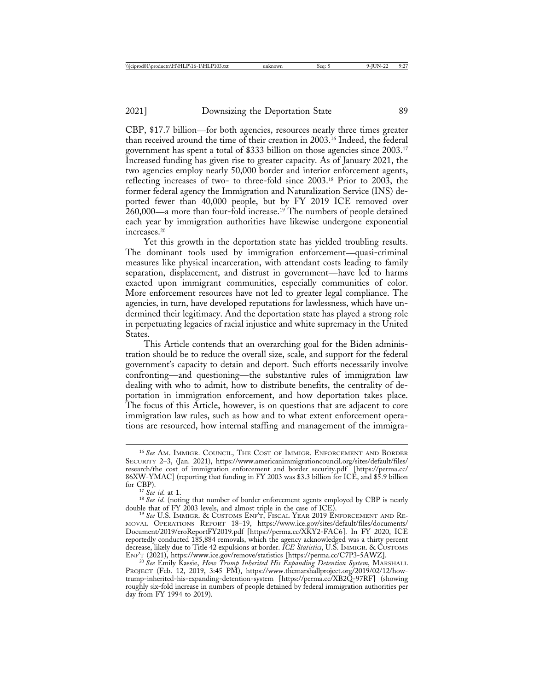CBP, \$17.7 billion—for both agencies, resources nearly three times greater than received around the time of their creation in 2003.16 Indeed, the federal government has spent a total of \$333 billion on those agencies since 2003.17 Increased funding has given rise to greater capacity. As of January 2021, the two agencies employ nearly 50,000 border and interior enforcement agents, reflecting increases of two- to three-fold since 2003.18 Prior to 2003, the former federal agency the Immigration and Naturalization Service (INS) deported fewer than 40,000 people, but by FY 2019 ICE removed over  $260,000$ —a more than four-fold increase.<sup>19</sup> The numbers of people detained each year by immigration authorities have likewise undergone exponential increases.20

Yet this growth in the deportation state has yielded troubling results. The dominant tools used by immigration enforcement—quasi-criminal measures like physical incarceration, with attendant costs leading to family separation, displacement, and distrust in government—have led to harms exacted upon immigrant communities, especially communities of color. More enforcement resources have not led to greater legal compliance. The agencies, in turn, have developed reputations for lawlessness, which have undermined their legitimacy. And the deportation state has played a strong role in perpetuating legacies of racial injustice and white supremacy in the United States.

This Article contends that an overarching goal for the Biden administration should be to reduce the overall size, scale, and support for the federal government's capacity to detain and deport. Such efforts necessarily involve confronting—and questioning—the substantive rules of immigration law dealing with who to admit, how to distribute benefits, the centrality of deportation in immigration enforcement, and how deportation takes place. The focus of this Article, however, is on questions that are adjacent to core immigration law rules, such as how and to what extent enforcement operations are resourced, how internal staffing and management of the immigra-

<sup>16</sup> *See* AM. IMMIGR. COUNCIL, THE COST OF IMMIGR. ENFORCEMENT AND BORDER SECURITY 2–3, (Jan. 2021), https://www.americanimmigrationcouncil.org/sites/default/files/ research/the\_cost\_of\_immigration\_enforcement\_and\_border\_security.pdf [https://perma.cc/ 86XW-YMAC] (reporting that funding in FY 2003 was \$3.3 billion for ICE, and \$5.9 billion

for CBP).<br><sup>17</sup> *See id*. at 1.<br><sup>18</sup> *See id*. (noting that number of border enforcement agents employed by CBP is nearly double that of FY 2003 levels, and almost triple in the case of ICE). double that of FY 2003 levels, and almost triple in the case of ICE). <sup>19</sup> *See* U.S. IMMIGR. & CUSTOMS ENF'T, FISCAL YEAR 2019 ENFORCEMENT AND RE-

MOVAL OPERATIONS REPORT 18–19, https://www.ice.gov/sites/default/files/documents/ Document/2019/eroReportFY2019.pdf [https://perma.cc/XKY2-FAC6]. In FY 2020, ICE reportedly conducted 185,884 removals, which the agency acknowledged was a thirty percent decrease, likely due to Title 42 expulsions at border. *ICE Statistics*, U.S. IMMIGR. & CUSTOMS ENF'T (2021), https://www.ice.gov/remove/statistics [https://perma.cc/C7P3-5AWZ]. <sup>20</sup> *See* Emily Kassie, *How Trump Inherited His Expanding Detention System*, MARSHALL

PROJECT (Feb. 12, 2019, 3:45 PM), https://www.themarshallproject.org/2019/02/12/howtrump-inherited-his-expanding-detention-system [https://perma.cc/XB2Q-97RF] (showing roughly six-fold increase in numbers of people detained by federal immigration authorities per day from FY 1994 to 2019).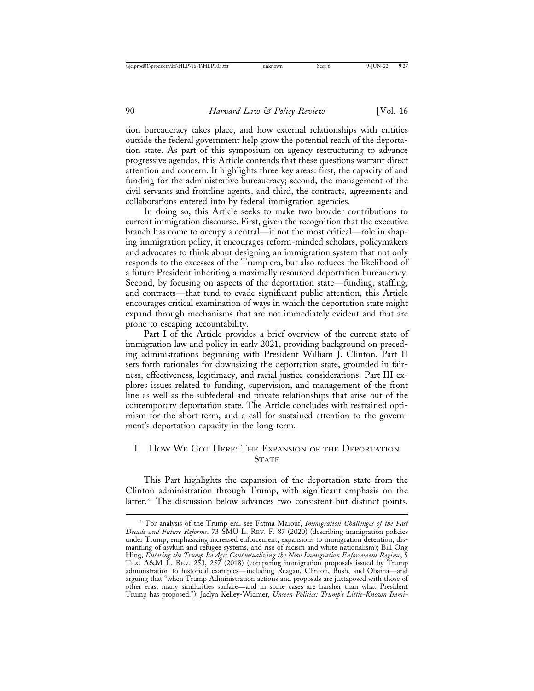tion bureaucracy takes place, and how external relationships with entities outside the federal government help grow the potential reach of the deportation state. As part of this symposium on agency restructuring to advance progressive agendas, this Article contends that these questions warrant direct attention and concern. It highlights three key areas: first, the capacity of and funding for the administrative bureaucracy; second, the management of the civil servants and frontline agents, and third, the contracts, agreements and collaborations entered into by federal immigration agencies.

In doing so, this Article seeks to make two broader contributions to current immigration discourse. First, given the recognition that the executive branch has come to occupy a central—if not the most critical—role in shaping immigration policy, it encourages reform-minded scholars, policymakers and advocates to think about designing an immigration system that not only responds to the excesses of the Trump era, but also reduces the likelihood of a future President inheriting a maximally resourced deportation bureaucracy. Second, by focusing on aspects of the deportation state—funding, staffing, and contracts—that tend to evade significant public attention, this Article encourages critical examination of ways in which the deportation state might expand through mechanisms that are not immediately evident and that are prone to escaping accountability.

Part I of the Article provides a brief overview of the current state of immigration law and policy in early 2021, providing background on preceding administrations beginning with President William J. Clinton. Part II sets forth rationales for downsizing the deportation state, grounded in fairness, effectiveness, legitimacy, and racial justice considerations. Part III explores issues related to funding, supervision, and management of the front line as well as the subfederal and private relationships that arise out of the contemporary deportation state. The Article concludes with restrained optimism for the short term, and a call for sustained attention to the government's deportation capacity in the long term.

### I. HOW WE GOT HERE: THE EXPANSION OF THE DEPORTATION **STATE**

This Part highlights the expansion of the deportation state from the Clinton administration through Trump, with significant emphasis on the latter.<sup>21</sup> The discussion below advances two consistent but distinct points.

<sup>21</sup> For analysis of the Trump era, see Fatma Marouf, *Immigration Challenges of the Past Decade and Future Reforms*, 73 SMU L. REV. F. 87 (2020) (describing immigration policies under Trump, emphasizing increased enforcement, expansions to immigration detention, dismantling of asylum and refugee systems, and rise of racism and white nationalism); Bill Ong Hing, *Entering the Trump Ice Age: Contextualizing the New Immigration Enforcement Regime*, 5 TEX. A&M L. REV. 253, 257 (2018) (comparing immigration proposals issued by Trump administration to historical examples—including Reagan, Clinton, Bush, and Obama—and arguing that "when Trump Administration actions and proposals are juxtaposed with those of other eras, many similarities surface—and in some cases are harsher than what President Trump has proposed."); Jaclyn Kelley-Widmer, *Unseen Policies: Trump's Little-Known Immi-*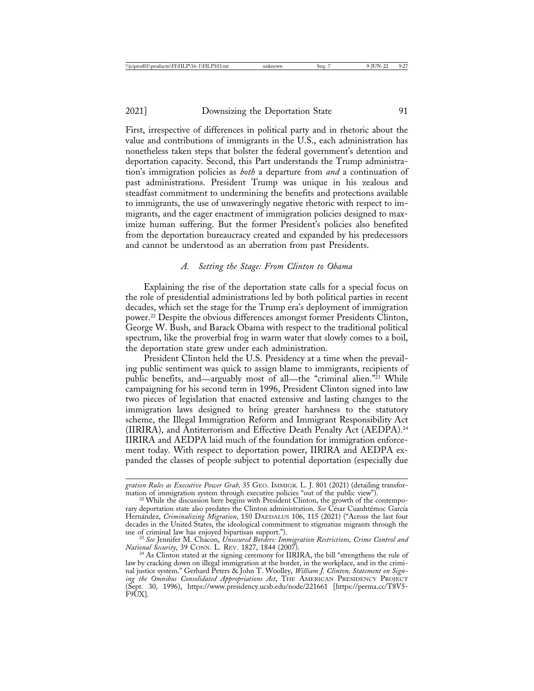First, irrespective of differences in political party and in rhetoric about the value and contributions of immigrants in the U.S., each administration has nonetheless taken steps that bolster the federal government's detention and deportation capacity. Second, this Part understands the Trump administration's immigration policies as *both* a departure from *and* a continuation of past administrations. President Trump was unique in his zealous and steadfast commitment to undermining the benefits and protections available to immigrants, the use of unwaveringly negative rhetoric with respect to immigrants, and the eager enactment of immigration policies designed to maximize human suffering. But the former President's policies also benefited from the deportation bureaucracy created and expanded by his predecessors and cannot be understood as an aberration from past Presidents.

### *A. Setting the Stage: From Clinton to Obama*

Explaining the rise of the deportation state calls for a special focus on the role of presidential administrations led by both political parties in recent decades, which set the stage for the Trump era's deployment of immigration power.22 Despite the obvious differences amongst former Presidents Clinton, George W. Bush, and Barack Obama with respect to the traditional political spectrum, like the proverbial frog in warm water that slowly comes to a boil, the deportation state grew under each administration.

President Clinton held the U.S. Presidency at a time when the prevailing public sentiment was quick to assign blame to immigrants, recipients of public benefits, and—arguably most of all—the "criminal alien."<sup>23</sup> While campaigning for his second term in 1996, President Clinton signed into law two pieces of legislation that enacted extensive and lasting changes to the immigration laws designed to bring greater harshness to the statutory scheme, the Illegal Immigration Reform and Immigrant Responsibility Act (IIRIRA), and Antiterrorism and Effective Death Penalty Act (AEDPA).24 IIRIRA and AEDPA laid much of the foundation for immigration enforcement today. With respect to deportation power, IIRIRA and AEDPA expanded the classes of people subject to potential deportation (especially due

*gration Rules as Executive Power Grab,* 35 GEO. IMMIGR. L. J. 801 (2021) (detailing transfor-

<sup>&</sup>lt;sup>22</sup> While the discussion here begins with President Clinton, the growth of the contemporary deportation state also predates the Clinton administration. See César Cuauhtémoc García Hern´andez, *Criminalizing Migration*, 150 DAEDALUS 106, 115 (2021) ("Across the last four decades in the United States, the ideological commitment to stigmatize migrants through the

use of criminal law has enjoyed bipartisan support.").<br><sup>23</sup> *See* Jennifer M. Chacon, *Unsecured Borders: Immigration Restrictions, Crime Control and*<br>*National Security*, 39 CONN. L. REV. 1827, 1844 (2007).

<sup>&</sup>lt;sup>24</sup> As Clinton stated at the signing ceremony for IIRIRA, the bill "strengthens the rule of law by cracking down on illegal immigration at the border, in the workplace, and in the criminal justice system." Gerhard Peters & John T. Woolley, *William J. Clinton, Statement on Signing the Omnibus Consolidated Appropriations Act*, THE AMERICAN PRESIDENCY PROJECT (Sept. 30, 1996), https://www.presidency.ucsb.edu/node/221661 [https://perma.cc/T8V5- F9UX].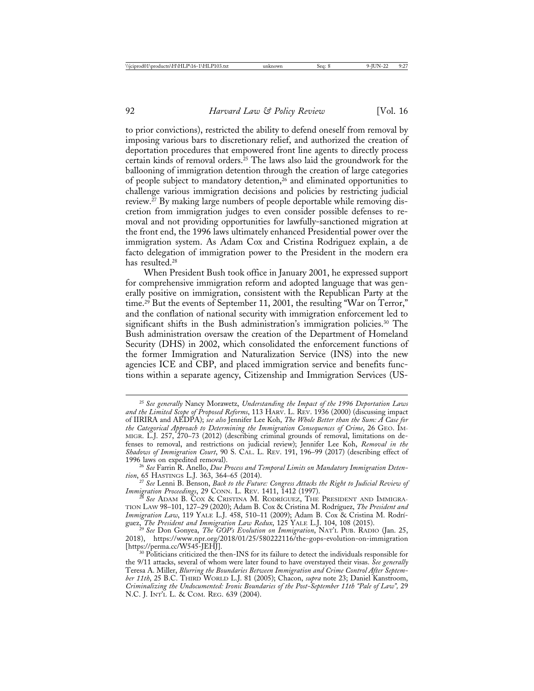to prior convictions), restricted the ability to defend oneself from removal by imposing various bars to discretionary relief, and authorized the creation of deportation procedures that empowered front line agents to directly process certain kinds of removal orders.25 The laws also laid the groundwork for the ballooning of immigration detention through the creation of large categories of people subject to mandatory detention,<sup>26</sup> and eliminated opportunities to challenge various immigration decisions and policies by restricting judicial review.27 By making large numbers of people deportable while removing discretion from immigration judges to even consider possible defenses to removal and not providing opportunities for lawfully-sanctioned migration at the front end, the 1996 laws ultimately enhanced Presidential power over the immigration system. As Adam Cox and Cristina Rodriguez explain, a de facto delegation of immigration power to the President in the modern era has resulted.<sup>28</sup>

When President Bush took office in January 2001, he expressed support for comprehensive immigration reform and adopted language that was generally positive on immigration, consistent with the Republican Party at the time.<sup>29</sup> But the events of September 11, 2001, the resulting "War on Terror," and the conflation of national security with immigration enforcement led to significant shifts in the Bush administration's immigration policies.<sup>30</sup> The Bush administration oversaw the creation of the Department of Homeland Security (DHS) in 2002, which consolidated the enforcement functions of the former Immigration and Naturalization Service (INS) into the new agencies ICE and CBP, and placed immigration service and benefits functions within a separate agency, Citizenship and Immigration Services (US-

<sup>25</sup> *See generally* Nancy Morawetz, *Understanding the Impact of the 1996 Deportation Laws and the Limited Scope of Proposed Reforms*, 113 HARV. L. REV. 1936 (2000) (discussing impact of IIRIRA and AEDPA); *see also* Jennifer Lee Koh, *The Whole Better than the Sum: A Case for the Categorical Approach to Determining the Immigration Consequences of Crime*, 26 GEO. IM-MIGR. L.J. 257, 270–73 (2012) (describing criminal grounds of removal, limitations on defenses to removal, and restrictions on judicial review); Jennifer Lee Koh, *Removal in the Shadows of Immigration Court*, 90 S. CAL. L. REV. 191, 196–99 (2017) (describing effect of 1996 laws on expedited removal). <sup>26</sup> *See* Farrin R. Anello, *Due Process and Temporal Limits on Mandatory Immigration Deten-*

*tion*, 65 HASTINGS L.J. 363, 364–65 (2014).<br><sup>27</sup> *See* Lenni B. Benson, *Back to the Future: Congress Attacks the Right to Judicial Review of*<br>*Immigration Proceedings*, 29 CONN. L. REV. 1411, 1412 (1997).

*Immigration Proceedings,* 29 CONN. L. REV. 1411, 1412 (1997).<br><sup>28</sup> See Adam B. Cox & Cristina M. Rodríguez, The President and Immigra-TION LAW 98-101, 127-29 (2020); Adam B. Cox & Cristina M. Rodríguez, The President and *Immigration Law,* 119 YALE L.J. 458, 510–11 (2009); Adam B. Cox & Cristina M. Rodrí-guez, The President and Immigration Law Redux, 125 YALE L.J. 104, 108 (2015).

guez, *The President and Immigration Law Redux, 125 IALE L.J. 104, 108 (2015).*<br><sup>29</sup> *See* Don Gonyea, *The GOP's Evolution on Immigration*, NAT'L PUB. RADIO (Jan. 25, 2018), https://www.npr.org/2018/01/25/580222116/the-gops-evolution-on-immigration

 $^{30}$  Politicians criticized the then-INS for its failure to detect the individuals responsible for the 9/11 attacks, several of whom were later found to have overstayed their visas. *See generally* Teresa A. Miller, *Blurring the Boundaries Between Immigration and Crime Control After September 11th*, 25 B.C. THIRD WORLD L.J. 81 (2005); Chacon, *supra* note 23; Daniel Kanstroom, *Criminalizing the Undocumented: Ironic Boundaries of the Post-September 11th "Pale of Law",* 29 N.C. J. INT'L L. & COM. REG. 639 (2004).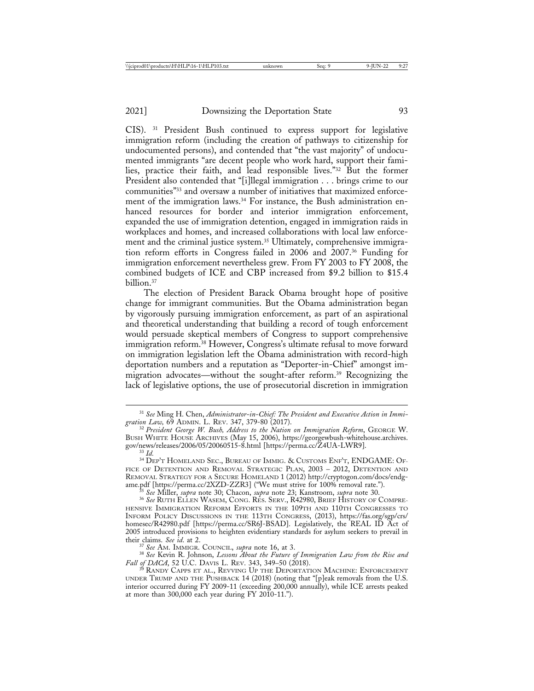CIS). 31 President Bush continued to express support for legislative immigration reform (including the creation of pathways to citizenship for undocumented persons), and contended that "the vast majority" of undocumented immigrants "are decent people who work hard, support their families, practice their faith, and lead responsible lives."32 But the former President also contended that "[i]llegal immigration . . . brings crime to our communities"33 and oversaw a number of initiatives that maximized enforcement of the immigration laws.<sup>34</sup> For instance, the Bush administration enhanced resources for border and interior immigration enforcement, expanded the use of immigration detention, engaged in immigration raids in workplaces and homes, and increased collaborations with local law enforcement and the criminal justice system.<sup>35</sup> Ultimately, comprehensive immigration reform efforts in Congress failed in 2006 and 2007.36 Funding for immigration enforcement nevertheless grew. From FY 2003 to FY 2008, the combined budgets of ICE and CBP increased from \$9.2 billion to \$15.4 billion.37

The election of President Barack Obama brought hope of positive change for immigrant communities. But the Obama administration began by vigorously pursuing immigration enforcement, as part of an aspirational and theoretical understanding that building a record of tough enforcement would persuade skeptical members of Congress to support comprehensive immigration reform.38 However, Congress's ultimate refusal to move forward on immigration legislation left the Obama administration with record-high deportation numbers and a reputation as "Deporter-in-Chief" amongst immigration advocates—without the sought-after reform.39 Recognizing the lack of legislative options, the use of prosecutorial discretion in immigration

<sup>&</sup>lt;sup>31</sup> See Ming H. Chen, *Administrator-in-Chief: The President and Executive Action in Immigration Law*, 69 ADMIN. L. REV. 347, 379-80 (2017).

<sup>&</sup>lt;sup>32</sup> President George W. Bush, Address to the Nation on Immigration Reform, GEORGE W. BUSH WHITE HOUSE ARCHIVES (May 15, 2006), https://georgewbush-whitehouse.archives. gov/news/releases/2006/05/20060515-8.html [https://perma.cc/Z4UA-LWR9]. <sup>33</sup> *Id.* <sup>34</sup> DEP'T HOMELAND SEC., BUREAU OF IMMIG. & CUSTOMS ENF'T, ENDGAME: OF-

FICE OF DETENTION AND REMOVAL STRATEGIC PLAN, 2003 – 2012, DETENTION AND REMOVAL STRATEGY FOR A SECURE HOMELAND 1 (2012) http://cryptogon.com/docs/endg-<br>ame.pdf [https://perma.cc/2XZD-ZZR3] ("We must strive for 100% removal rate.").

<sup>&</sup>lt;sup>35</sup> See Miller, *supra* note 30; Chacon, *supra* note 23; Kanstroom, *supra* note 30.<br><sup>36</sup> See RUTH ELLEN WASEM, CONG. RES. SERV., R42980, BRIEF HISTORY OF COMPRE-HENSIVE IMMIGRATION REFORM EFFORTS IN THE 109TH AND 110TH CONGRESSES TO INFORM POLICY DISCUSSIONS IN THE 113TH CONGRESS, (2013), https://fas.org/sgp/crs/ homesec/R42980.pdf [https://perma.cc/SR6J-BSAD]. Legislatively, the REAL ID Act of 2005 introduced provisions to heighten evidentiary standards for asylum seekers to prevail in their claims. See id. at 2.

<sup>&</sup>lt;sup>37</sup> *See* Am. IMMIGR. COUNCIL, *supra* note 16, at 3.<br><sup>38</sup> *See* Kevin R. Johnson, *Lessons About the Future of Immigration Law from the Rise and*<br>*Fall of DACA*, 52 U.C. DAVIS L. REV. 343, 349–50 (2018).

<sup>&</sup>lt;sup>39</sup> RANDY CAPPS ET AL., REVVING UP THE DEPORTATION MACHINE: ENFORCEMENT UNDER TRUMP AND THE PUSHBACK 14 (2018) (noting that "[p]eak removals from the U.S. interior occurred during FY 2009-11 (exceeding 200,000 annually), while ICE arrests peaked at more than 300,000 each year during FY 2010-11.").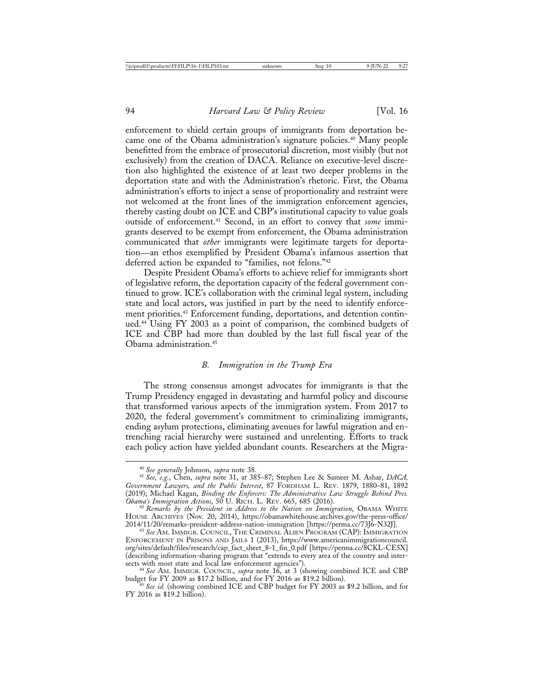enforcement to shield certain groups of immigrants from deportation became one of the Obama administration's signature policies.40 Many people benefitted from the embrace of prosecutorial discretion, most visibly (but not exclusively) from the creation of DACA. Reliance on executive-level discretion also highlighted the existence of at least two deeper problems in the deportation state and with the Administration's rhetoric. First, the Obama administration's efforts to inject a sense of proportionality and restraint were not welcomed at the front lines of the immigration enforcement agencies, thereby casting doubt on ICE and CBP's institutional capacity to value goals outside of enforcement.41 Second, in an effort to convey that *some* immigrants deserved to be exempt from enforcement, the Obama administration communicated that *other* immigrants were legitimate targets for deportation—an ethos exemplified by President Obama's infamous assertion that deferred action be expanded to "families, not felons."42

Despite President Obama's efforts to achieve relief for immigrants short of legislative reform, the deportation capacity of the federal government continued to grow. ICE's collaboration with the criminal legal system, including state and local actors, was justified in part by the need to identify enforcement priorities.<sup>43</sup> Enforcement funding, deportations, and detention continued.44 Using FY 2003 as a point of comparison, the combined budgets of ICE and CBP had more than doubled by the last full fiscal year of the Obama administration.45

### *B. Immigration in the Trump Era*

The strong consensus amongst advocates for immigrants is that the Trump Presidency engaged in devastating and harmful policy and discourse that transformed various aspects of the immigration system. From 2017 to 2020, the federal government's commitment to criminalizing immigrants, ending asylum protections, eliminating avenues for lawful migration and entrenching racial hierarchy were sustained and unrelenting. Efforts to track each policy action have yielded abundant counts. Researchers at the Migra-

<sup>40</sup> *See generally* Johnson, *supra* note 38. <sup>41</sup> *See, e.g.*, Chen, *supra* note 31, at 385–87; Stephen Lee & Sameer M. Ashar, *DACA, Government Lawyers, and the Public Interest*, 87 FORDHAM L. REV. 1879, 1880–81, 1892 (2019); Michael Kagan, *Binding the Enforcers: The Administrative Law Struggle Behind Pres.*

<sup>&</sup>lt;sup>42</sup> Remarks by the President in Address to the Nation on Immigration, OBAMA WHITE HOUSE ARCHIVES (Nov. 20, 2014), https://obamawhitehouse.archives.gov/the-press-office/<br>2014/11/20/remarks-president-address-nation-immigration [https://perma.cc/73J6-N32J].

<sup>&</sup>lt;sup>43</sup> See Am. Immigr. Council, The Criminal Alien Program (CAP): Immigration ENFORCEMENT IN PRISONS AND JAILS 1 (2013), https://www.americanimmigrationcouncil. org/sites/default/files/research/cap\_fact\_sheet\_8-1\_fin\_0.pdf [https://perma.cc/8CKL-CE5X] (describing information-sharing program that "extends to every area of the country and intersects with most state and local law enforcement agencies"). <sup>44</sup> *See* AM. IMMIGR. COUNCIL, *supra* note 16, at 3 (showing combined ICE and CBP

budget for FY 2009 as \$17.2 billion, and for FY 2016 as \$19.2 billion). <sup>45</sup> *See id.* (showing combined ICE and CBP budget for FY 2003 as \$9.2 billion, and for FY 2016 as \$19.2 billion).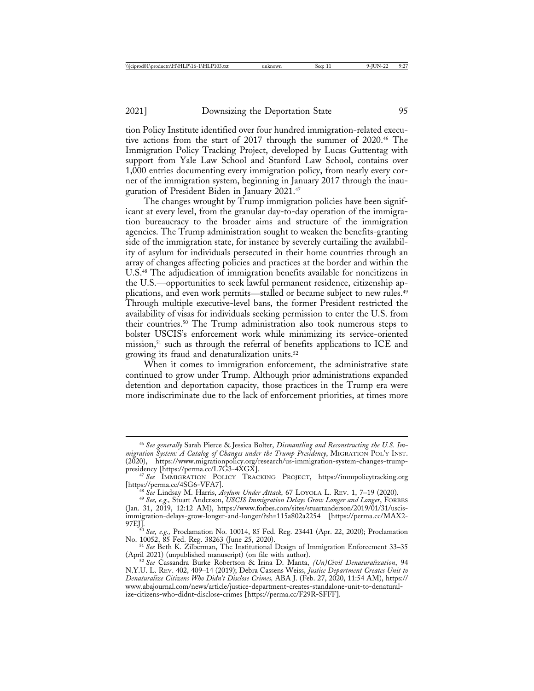tion Policy Institute identified over four hundred immigration-related executive actions from the start of 2017 through the summer of 2020.46 The Immigration Policy Tracking Project, developed by Lucas Guttentag with support from Yale Law School and Stanford Law School, contains over 1,000 entries documenting every immigration policy, from nearly every corner of the immigration system, beginning in January 2017 through the inauguration of President Biden in January 2021.47

The changes wrought by Trump immigration policies have been significant at every level, from the granular day-to-day operation of the immigration bureaucracy to the broader aims and structure of the immigration agencies. The Trump administration sought to weaken the benefits-granting side of the immigration state, for instance by severely curtailing the availability of asylum for individuals persecuted in their home countries through an array of changes affecting policies and practices at the border and within the U.S.48 The adjudication of immigration benefits available for noncitizens in the U.S.—opportunities to seek lawful permanent residence, citizenship applications, and even work permits—stalled or became subject to new rules.<sup>49</sup> Through multiple executive-level bans, the former President restricted the availability of visas for individuals seeking permission to enter the U.S. from their countries.50 The Trump administration also took numerous steps to bolster USCIS's enforcement work while minimizing its service-oriented mission,<sup>51</sup> such as through the referral of benefits applications to ICE and growing its fraud and denaturalization units.52

When it comes to immigration enforcement, the administrative state continued to grow under Trump. Although prior administrations expanded detention and deportation capacity, those practices in the Trump era were more indiscriminate due to the lack of enforcement priorities, at times more

<sup>46</sup> *See generally* Sarah Pierce & Jessica Bolter, *Dismantling and Reconstructing the U.S. Immigration System: A Catalog of Changes under the Trump Presidency*, MIGRATION POL'Y INST. (2020), https://www.migrationpolicy.org/research/us-immigration-system-changes-trump-<br>presidency [https://perma.cc/L7G3-4XGX].

<sup>&</sup>lt;sup>4</sup> <sup>47</sup> See IMMIGRATION POLICY TRACKING PROJECT, https://immpolicytracking.org<br>[https://perma.cc/4SG6-VFA7].

<sup>&</sup>lt;sup>48</sup> See Lindsay M. Harris, *Asylum Under Attack*, 67 LOYOLA L. REV. 1, 7–19 (2020).<br><sup>49</sup> See, e.g., Stuart Anderson, *USCIS Immigration Delays Grow Longer and Longer*, FORBES (Jan. 31, 2019, 12:12 AM), https://www.forbes.com/sites/stuartanderson/2019/01/31/uscisimmigration-delays-grow-longer-and-longer/?sh=115a802a2254 [https://perma.cc/MAX2- 97EJ]. <sup>50</sup> *See, e.g.,* Proclamation No. 10014, 85 Fed. Reg. 23441 (Apr. 22, 2020); Proclamation

No. 10052, 85 Fed. Reg. 38263 (June 25, 2020). <sup>51</sup> *See* Beth K. Zilberman, The Institutional Design of Immigration Enforcement 33–<sup>35</sup> (April 2021) (unpublished manuscript) (on file with author). <sup>52</sup> *See* Cassandra Burke Robertson & Irina D. Manta, *(Un)Civil Denaturalization*, 94

N.Y.U. L. REV. 402, 409–14 (2019); Debra Cassens Weiss, *Justice Department Creates Unit to Denaturalize Citizens Who Didn't Disclose Crimes,* ABA J. (Feb. 27, 2020, 11:54 AM), https:// www.abajournal.com/news/article/justice-department-creates-standalone-unit-to-denaturalize-citizens-who-didnt-disclose-crimes [https://perma.cc/F29R-SFFF].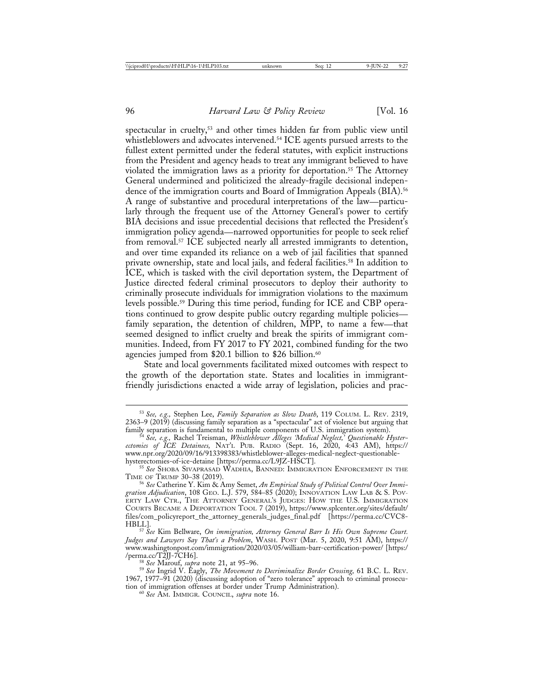spectacular in cruelty,<sup>53</sup> and other times hidden far from public view until whistleblowers and advocates intervened.<sup>54</sup> ICE agents pursued arrests to the fullest extent permitted under the federal statutes, with explicit instructions from the President and agency heads to treat any immigrant believed to have violated the immigration laws as a priority for deportation.<sup>55</sup> The Attorney General undermined and politicized the already-fragile decisional independence of the immigration courts and Board of Immigration Appeals (BIA).<sup>56</sup> A range of substantive and procedural interpretations of the law—particularly through the frequent use of the Attorney General's power to certify BIA decisions and issue precedential decisions that reflected the President's immigration policy agenda—narrowed opportunities for people to seek relief from removal.<sup>57</sup> ICE subjected nearly all arrested immigrants to detention, and over time expanded its reliance on a web of jail facilities that spanned private ownership, state and local jails, and federal facilities.58 In addition to ICE, which is tasked with the civil deportation system, the Department of Justice directed federal criminal prosecutors to deploy their authority to criminally prosecute individuals for immigration violations to the maximum levels possible.59 During this time period, funding for ICE and CBP operations continued to grow despite public outcry regarding multiple policies family separation, the detention of children, MPP, to name a few—that seemed designed to inflict cruelty and break the spirits of immigrant communities. Indeed, from FY 2017 to FY 2021, combined funding for the two agencies jumped from \$20.1 billion to \$26 billion.<sup>60</sup>

State and local governments facilitated mixed outcomes with respect to the growth of the deportation state. States and localities in immigrantfriendly jurisdictions enacted a wide array of legislation, policies and prac-

<sup>53</sup> *See, e.g.,* Stephen Lee, *Family Separation as Slow Death*, 119 COLUM. L. REV. 2319, 2363–9 (2019) (discussing family separation as a "spectacular" act of violence but arguing that family separation is fundamental to multiple components of U.S. immigration system). <sup>54</sup> *See, e.g.,* Rachel Treisman, *Whistleblower Alleges 'Medical Neglect,' Questionable Hyster-*

*ectomies of ICE Detainees,* NAT'L PUB. RADIO (Sept. 16, 2020, 4:43 AM), https:// www.npr.org/2020/09/16/913398383/whistleblower-alleges-medical-neglect-questionable-<br>hysterectomies-of-ice-detaine [https://perma.cc/L9JZ-HSCT].

<sup>&</sup>lt;sup>55</sup> See SHOBA SIVAPRASAD WADHIA, BANNED: IMMIGRATION ENFORCEMENT IN THE TIME OF TRUMP 30–38 (2019).

<sup>&</sup>lt;sup>56</sup> See Catherine Y. Kim & Amy Semet, *An Empirical Study of Political Control Over Immigration Adjudication*, 108 GEO. L.J. 579, 584–85 (2020); INNOVATION LAW LAB & S. POV-ERTY LAW CTR., THE ATTORNEY GENERAL'S JUDGES: HOW THE U.S. IMMIGRATION COURTS BECAME A DEPORTATION TOOL 7 (2019), https://www.splcenter.org/sites/default/ files/com\_policyreport\_the\_attorney\_generals\_judges\_final.pdf [https://perma.cc/CVC8-

HBLL]. <sup>57</sup> *See* Kim Bellware, *On immigration, Attorney General Barr Is His Own Supreme Court. Judges and Lawyers Say That's a Problem*, WASH. POST (Mar. 5, 2020, 9:51 AM), https:// www.washingtonpost.com/immigration/2020/03/05/william-barr-certification-power/ [https:/

<sup>/</sup>perma.cc/T2JJ-7CH6]. <sup>58</sup> *See* Marouf, *supra* note 21, at 95–96. <sup>59</sup> *See* Ingrid V. Eagly, *The Movement to Decriminalize Border Crossing,* 61 B.C. L. REV. 1967, 1977–91 (2020) (discussing adoption of "zero tolerance" approach to criminal prosecution of immigration offenses at border under Trump Administration). <sup>60</sup> *See* AM. IMMIGR. COUNCIL, *supra* note 16.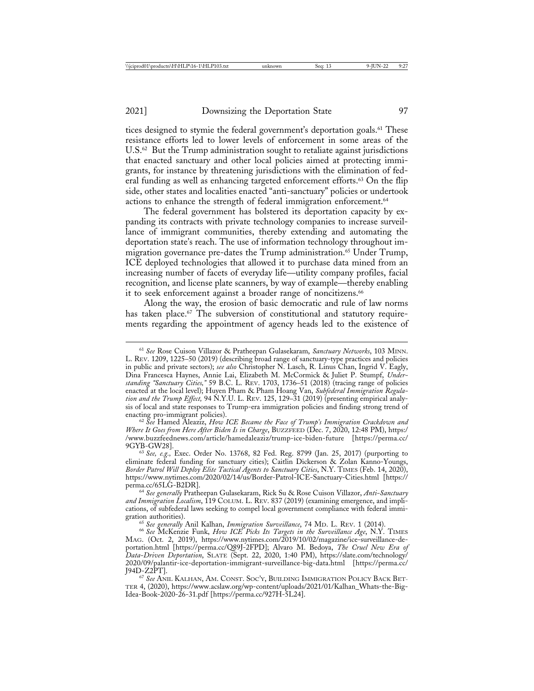tices designed to stymie the federal government's deportation goals.<sup>61</sup> These resistance efforts led to lower levels of enforcement in some areas of the U.S.<sup>62</sup> But the Trump administration sought to retaliate against jurisdictions that enacted sanctuary and other local policies aimed at protecting immigrants, for instance by threatening jurisdictions with the elimination of federal funding as well as enhancing targeted enforcement efforts.<sup>63</sup> On the flip side, other states and localities enacted "anti-sanctuary" policies or undertook actions to enhance the strength of federal immigration enforcement.<sup>64</sup>

The federal government has bolstered its deportation capacity by expanding its contracts with private technology companies to increase surveillance of immigrant communities, thereby extending and automating the deportation state's reach. The use of information technology throughout immigration governance pre-dates the Trump administration.<sup>65</sup> Under Trump, ICE deployed technologies that allowed it to purchase data mined from an increasing number of facets of everyday life––utility company profiles, facial recognition, and license plate scanners, by way of example––thereby enabling it to seek enforcement against a broader range of noncitizens.<sup>66</sup>

Along the way, the erosion of basic democratic and rule of law norms has taken place.<sup>67</sup> The subversion of constitutional and statutory requirements regarding the appointment of agency heads led to the existence of

<sup>62</sup> See Hamed Aleaziz, *How ICE Became the Face of Trump's Immigration Crackdown and Where It Goes from Here After Biden Is in Charge*, BUZZFEED (Dec. 7, 2020, 12:48 PM), https:/ /www.buzzfeednews.com/article/hamedaleaziz/trump-ice-biden-future [https://perma.cc/

9GYB-GW28]. <sup>63</sup> *See, e.g.,* Exec. Order No. 13768, 82 Fed. Reg. 8799 (Jan. 25, 2017) (purporting to eliminate federal funding for sanctuary cities); Caitlin Dickerson & Zolan Kanno-Youngs, *Border Patrol Will Deploy Elite Tactical Agents to Sanctuary Cities*, N.Y. TIMES (Feb. 14, 2020), https://www.nytimes.com/2020/02/14/us/Border-Patrol-ICE-Sanctuary-Cities.html [https://

<sup>64</sup> See generally Pratheepan Gulasekaram, Rick Su & Rose Cuison Villazor, *Anti-Sanctuary* and Immigration Localism, 119 COLUM. L. REV. 837 (2019) (examining emergence, and implications, of subfederal laws seeking to compel local government compliance with federal immi-

gration authorities). <sup>65</sup> *See generally* Anil Kalhan, *Immigration Surveillance*, 74 MD. L. REV. 1 (2014). <sup>66</sup> *See* McKenzie Funk, *How ICE Picks Its Targets in the Surveillance Age*, N.Y. TIMES MAG. (Oct. 2, 2019), https://www.nytimes.com/2019/10/02/magazine/ice-surveillance-deportation.html [https://perma.cc/Q89J-2FPD]; Alvaro M. Bedoya, *The Cruel New Era of Data-Driven Deportation*, SLATE (Sept. 22, 2020, 1:40 PM), https://slate.com/technology/ 2020/09/palantir-ice-deportation-immigrant-surveillance-big-data.html [https://perma.cc/

<sup>67</sup> See ANIL KALHAN, AM. CONST. SOC'Y, BUILDING IMMIGRATION POLICY BACK BET-TER 4, (2020), https://www.acslaw.org/wp-content/uploads/2021/01/Kalhan\_Whats-the-Big-Idea-Book-2020-26-31.pdf [https://perma.cc/927H-5L24].

<sup>61</sup> *See* Rose Cuison Villazor & Pratheepan Gulasekaram, *Sanctuary Networks*, 103 MINN. L. REV. 1209, 1225–50 (2019) (describing broad range of sanctuary-type practices and policies in public and private sectors); *see also* Christopher N. Lasch, R. Linus Chan, Ingrid V. Eagly, Dina Francesca Haynes, Annie Lai, Elizabeth M. McCormick & Juliet P. Stumpf, *Understanding "Sanctuary Cities,"* 59 B.C. L. REV. 1703, 1736–51 (2018) (tracing range of policies enacted at the local level); Huyen Pham & Pham Hoang Van, *Subfederal Immigration Regulation and the Trump Effect,* 94 N.Y.U. L. REV. 125, 129–31 (2019) (presenting empirical analysis of local and state responses to Trump-era immigration policies and finding strong trend of enacting pro-immigrant policies).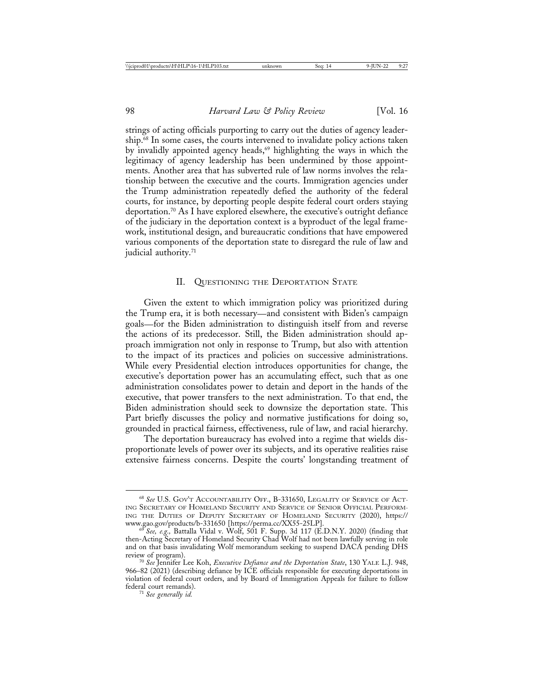strings of acting officials purporting to carry out the duties of agency leadership.68 In some cases, the courts intervened to invalidate policy actions taken by invalidly appointed agency heads,<sup>69</sup> highlighting the ways in which the legitimacy of agency leadership has been undermined by those appointments. Another area that has subverted rule of law norms involves the relationship between the executive and the courts. Immigration agencies under the Trump administration repeatedly defied the authority of the federal courts, for instance, by deporting people despite federal court orders staying deportation.70 As I have explored elsewhere, the executive's outright defiance of the judiciary in the deportation context is a byproduct of the legal framework, institutional design, and bureaucratic conditions that have empowered various components of the deportation state to disregard the rule of law and judicial authority.<sup>71</sup>

### II. QUESTIONING THE DEPORTATION STATE

Given the extent to which immigration policy was prioritized during the Trump era, it is both necessary—and consistent with Biden's campaign goals—for the Biden administration to distinguish itself from and reverse the actions of its predecessor. Still, the Biden administration should approach immigration not only in response to Trump, but also with attention to the impact of its practices and policies on successive administrations. While every Presidential election introduces opportunities for change, the executive's deportation power has an accumulating effect, such that as one administration consolidates power to detain and deport in the hands of the executive, that power transfers to the next administration. To that end, the Biden administration should seek to downsize the deportation state. This Part briefly discusses the policy and normative justifications for doing so, grounded in practical fairness, effectiveness, rule of law, and racial hierarchy.

The deportation bureaucracy has evolved into a regime that wields disproportionate levels of power over its subjects, and its operative realities raise extensive fairness concerns. Despite the courts' longstanding treatment of

<sup>68</sup> *See* U.S. GOV'T ACCOUNTABILITY OFF., B-331650, LEGALITY OF SERVICE OF ACT-ING SECRETARY OF HOMELAND SECURITY AND SERVICE OF SENIOR OFFICIAL PERFORM-ING THE DUTIES OF DEPUTY SECRETARY OF HOMELAND SECURITY (2020), https:// www.gao.gov/products/b-331650 [https://perma.cc/XX55-25LP]. <sup>69</sup> *See, e.g.,* Battalla Vidal v. Wolf, 501 F. Supp. 3d 117 (E.D.N.Y. 2020) (finding that

then-Acting Secretary of Homeland Security Chad Wolf had not been lawfully serving in role and on that basis invalidating Wolf memorandum seeking to suspend DACA pending DHS

<sup>&</sup>lt;sup>70</sup> See Jennifer Lee Koh, *Executive Defiance and the Deportation State*, 130 YALE L.J. 948, 966–82 (2021) (describing defiance by ICE officials responsible for executing deportations in violation of federal court orders, and by Board of Immigration Appeals for failure to follow

<sup>&</sup>lt;sup>71</sup> See generally id.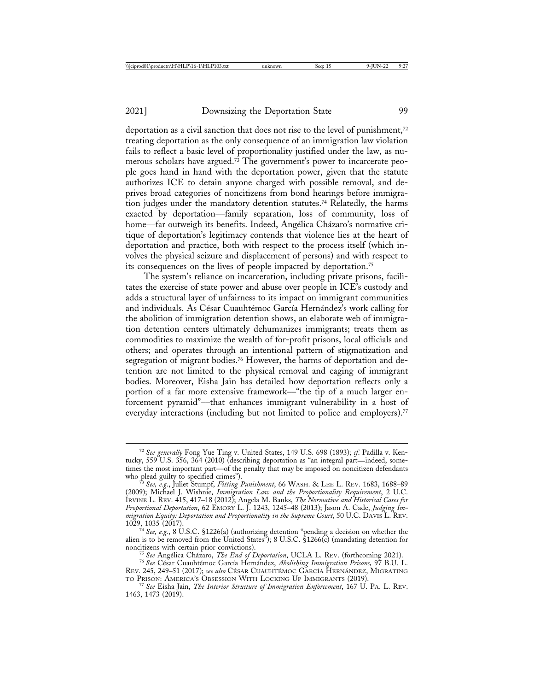deportation as a civil sanction that does not rise to the level of punishment,<sup>72</sup> treating deportation as the only consequence of an immigration law violation fails to reflect a basic level of proportionality justified under the law, as numerous scholars have argued.<sup>73</sup> The government's power to incarcerate people goes hand in hand with the deportation power, given that the statute authorizes ICE to detain anyone charged with possible removal, and deprives broad categories of noncitizens from bond hearings before immigration judges under the mandatory detention statutes.<sup>74</sup> Relatedly, the harms exacted by deportation—family separation, loss of community, loss of home—far outweigh its benefits. Indeed, Angélica Cházaro's normative critique of deportation's legitimacy contends that violence lies at the heart of deportation and practice, both with respect to the process itself (which involves the physical seizure and displacement of persons) and with respect to its consequences on the lives of people impacted by deportation.75

The system's reliance on incarceration, including private prisons, facilitates the exercise of state power and abuse over people in ICE's custody and adds a structural layer of unfairness to its impact on immigrant communities and individuals. As César Cuauhtémoc García Hernández's work calling for the abolition of immigration detention shows, an elaborate web of immigration detention centers ultimately dehumanizes immigrants; treats them as commodities to maximize the wealth of for-profit prisons, local officials and others; and operates through an intentional pattern of stigmatization and segregation of migrant bodies.<sup>76</sup> However, the harms of deportation and detention are not limited to the physical removal and caging of immigrant bodies. Moreover, Eisha Jain has detailed how deportation reflects only a portion of a far more extensive framework—"the tip of a much larger enforcement pyramid"––that enhances immigrant vulnerability in a host of everyday interactions (including but not limited to police and employers).<sup>77</sup>

<sup>72</sup> *See generally* Fong Yue Ting v. United States, 149 U.S. 698 (1893); *cf*. Padilla v. Kentucky, 559 U.S. 356, 364 (2010) (describing deportation as "an integral part—indeed, sometimes the most important part—of the penalty that may be imposed on noncitizen defendants who plead guilty to specified crimes").

<sup>&</sup>lt;sup>3</sup> See, e.g., Juliet Stumpf, *Fitting Punishment*, 66 WASH. & LEE L. REV. 1683, 1688–89 (2009); Michael J. Wishnie, *Immigration Law and the Proportionality Requirement*, 2 U.C. IRVINE L. REV. 415, 417–18 (2012); Angela M. Banks, *The Normative and Historical Cases for Proportional Deportation*, 62 EMORY L. J. 1243, 1245–48 (2013); Jason A. Cade, *Judging Immigration Equity: Deportation and Proportionality in the Supreme Court*, 50 U.C. DAVIS L. REV.

<sup>1029, 1035 (2017).</sup> <sup>74</sup> *See, e.g.*, 8 U.S.C. §1226(a) (authorizing detention "pending a decision on whether the alien is to be removed from the United States"); 8 U.S.C. §1266(c) (mandating detention for noncitizens with certain prior convictions).<br><sup>75</sup> See Angélica Cházaro, *The End of Deportation*, UCLA L. REV. (forthcoming 2021).<br><sup>76</sup> See César Cuauhtémoc García Hernández, *Abolishing Immigration Prisons*, 97 B.U. L.

Rev. 245, 249–51 (2017); *see also* César Cuauhtémoc García Hernandez, Migrating TO PRISON: AMERICA'S OBSESSION WITH LOCKING UP IMMIGRANTS (2019). <sup>77</sup> *See* Eisha Jain, *The Interior Structure of Immigration Enforcement*, 167 U. PA. L. REV.

<sup>1463, 1473 (2019).</sup>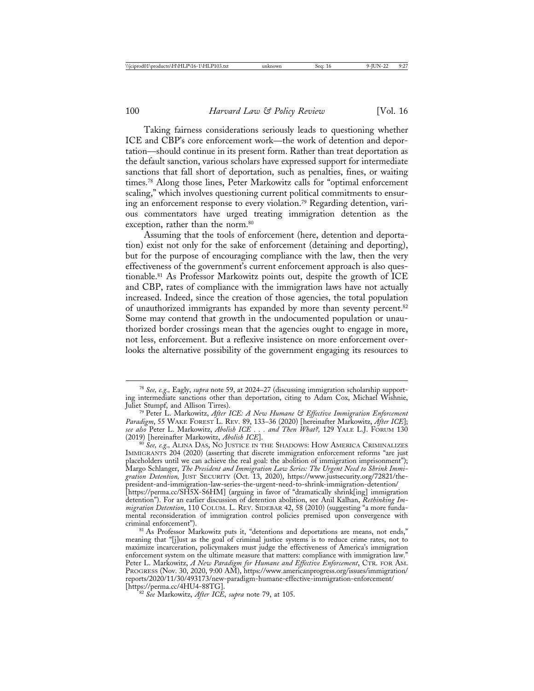Taking fairness considerations seriously leads to questioning whether ICE and CBP's core enforcement work––the work of detention and deportation––should continue in its present form. Rather than treat deportation as the default sanction, various scholars have expressed support for intermediate sanctions that fall short of deportation, such as penalties, fines, or waiting times.78 Along those lines, Peter Markowitz calls for "optimal enforcement scaling," which involves questioning current political commitments to ensuring an enforcement response to every violation.79 Regarding detention, various commentators have urged treating immigration detention as the exception, rather than the norm.<sup>80</sup>

Assuming that the tools of enforcement (here, detention and deportation) exist not only for the sake of enforcement (detaining and deporting), but for the purpose of encouraging compliance with the law, then the very effectiveness of the government's current enforcement approach is also questionable.81 As Professor Markowitz points out, despite the growth of ICE and CBP, rates of compliance with the immigration laws have not actually increased. Indeed, since the creation of those agencies, the total population of unauthorized immigrants has expanded by more than seventy percent.<sup>82</sup> Some may contend that growth in the undocumented population or unauthorized border crossings mean that the agencies ought to engage in more, not less, enforcement. But a reflexive insistence on more enforcement overlooks the alternative possibility of the government engaging its resources to

IMMIGRANTS 204 (2020) (asserting that discrete immigration enforcement reforms "are just placeholders until we can achieve the real goal: the abolition of immigration imprisonment"); Margo Schlanger, *The President and Immigration Law Series: The Urgent Need to Shrink Immigration Detention,* JUST SECURITY (Oct. 13, 2020), https://www.justsecurity.org/72821/thepresident-and-immigration-law-series-the-urgent-need-to-shrink-immigration-detention/ [https://perma.cc/SH5X-S6HM] (arguing in favor of "dramatically shrink[ing] immigration detention"). For an earlier discussion of detention abolition, see Anil Kalhan, *Rethinking Immigration Detention*, 110 COLUM. L. REV. SIDEBAR 42, 58 (2010) (suggesting "a more fundamental reconsideration of immigration control policies premised upon convergence with

<sup>81</sup> As Professor Markowitz puts it, "detentions and deportations are means, not ends," meaning that "[j]ust as the goal of criminal justice systems is to reduce crime rates, not to maximize incarceration, policymakers must judge the effectiveness of America's immigration enforcement system on the ultimate measure that matters: compliance with immigration law." Peter L. Markowitz, *A New Paradigm for Humane and Effective Enforcement*, CTR. FOR AM. PROGRESS (Nov. 30, 2020, 9:00 AM), https://www.americanprogress.org/issues/immigration/ reports/2020/11/30/493173/new-paradigm-humane-effective-immigration-enforcement/

<sup>82</sup> See Markowitz, *After ICE*, *supra* note 79, at 105.

<sup>78</sup> *See, e.g.,* Eagly, *supra* note 59, at 2024–27 (discussing immigration scholarship supporting intermediate sanctions other than deportation, citing to Adam Cox, Michael Wishnie,

<sup>&</sup>lt;sup>79</sup> Peter L. Markowitz, After ICE: A New Humane & Effective Immigration Enforcement *Paradigm*, 55 WAKE FOREST L. REV. 89, 133–36 (2020) [hereinafter Markowitz, *After ICE*]; *see also* Peter L. Markowitz, *Abolish ICE . . . and Then What?,* 129 YALE L.J. FORUM 130 (2019) [hereinafter Markowitz, *Abolish ICE*]. <sup>80</sup> *See, e.g.,* ALINA DAS, NO JUSTICE IN THE SHADOWS: HOW AMERICA CRIMINALIZES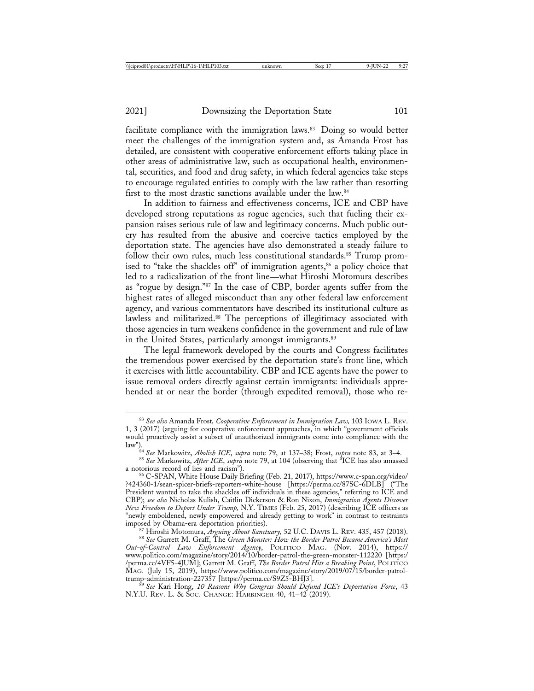facilitate compliance with the immigration laws.<sup>83</sup> Doing so would better meet the challenges of the immigration system and, as Amanda Frost has detailed, are consistent with cooperative enforcement efforts taking place in other areas of administrative law, such as occupational health, environmental, securities, and food and drug safety, in which federal agencies take steps to encourage regulated entities to comply with the law rather than resorting first to the most drastic sanctions available under the law.84

In addition to fairness and effectiveness concerns, ICE and CBP have developed strong reputations as rogue agencies, such that fueling their expansion raises serious rule of law and legitimacy concerns. Much public outcry has resulted from the abusive and coercive tactics employed by the deportation state. The agencies have also demonstrated a steady failure to follow their own rules, much less constitutional standards.<sup>85</sup> Trump promised to "take the shackles off" of immigration agents,<sup>86</sup> a policy choice that led to a radicalization of the front line—what Hiroshi Motomura describes as "rogue by design."87 In the case of CBP, border agents suffer from the highest rates of alleged misconduct than any other federal law enforcement agency, and various commentators have described its institutional culture as lawless and militarized.<sup>88</sup> The perceptions of illegitimacy associated with those agencies in turn weakens confidence in the government and rule of law in the United States, particularly amongst immigrants.<sup>89</sup>

The legal framework developed by the courts and Congress facilitates the tremendous power exercised by the deportation state's front line, which it exercises with little accountability. CBP and ICE agents have the power to issue removal orders directly against certain immigrants: individuals apprehended at or near the border (through expedited removal), those who re-

87 Hiroshi Motomura, *Arguing About Sanctuary*, 52 U.C. DAVIS L. REV. 435, 457 (2018).<br><sup>88</sup> See Garrett M. Graff, The Green Monster: How the Border Patrol Became America's Most

<sup>83</sup> *See also* Amanda Frost*, Cooperative Enforcement in Immigration Law,* 103 IOWA L. REV. 1, 3 (2017) (arguing for cooperative enforcement approaches, in which "government officials would proactively assist a subset of unauthorized immigrants come into compliance with the

law").<br><sup>84</sup> See Markowitz, *Abolish ICE*, *supra* note 79, at 137–38; Frost, *supra* note 83, at 3–4.<br><sup>85</sup> See Markowitz, *After ICE*, *supra* note 79, at 104 (observing that "ICE has also amassed

<sup>&</sup>lt;sup>86</sup> C-SPAN, White House Daily Briefing (Feb. 21, 2017), https://www.c-span.org/video/ ?424360-1/sean-spicer-briefs-reporters-white-house [https://perma.cc/87SC-6DLB] ("The President wanted to take the shackles off individuals in these agencies," referring to ICE and CBP); *see also* Nicholas Kulish, Caitlin Dickerson & Ron Nixon, *Immigration Agents Discover New Freedom to Deport Under Trump,* N.Y. TIMES (Feb. 25, 2017) (describing ICE officers as "newly emboldened, newly empowered and already getting to work" in contrast to restraints

*Out-of-Control Law Enforcement Agency*, POLITICO MAG. (Nov. 2014), https:// www.politico.com/magazine/story/2014/10/border-patrol-the-green-monster-112220 [https:/ /perma.cc/4VF5-4JUM]; Garrett M. Graff, *The Border Patrol Hits a Breaking Point*, POLITICO MAG. (July 15, 2019), https://www.politico.com/magazine/story/2019/07/15/border-patrol-

trump-administration-227357 [https://perma.cc/S9Z5-BHJ3]. <sup>89</sup> *See* Kari Hong, *10 Reasons Why Congress Should Defund ICE's Deportation Force*, 43 N.Y.U. REV. L. & SOC. CHANGE: HARBINGER 40, 41-42 (2019).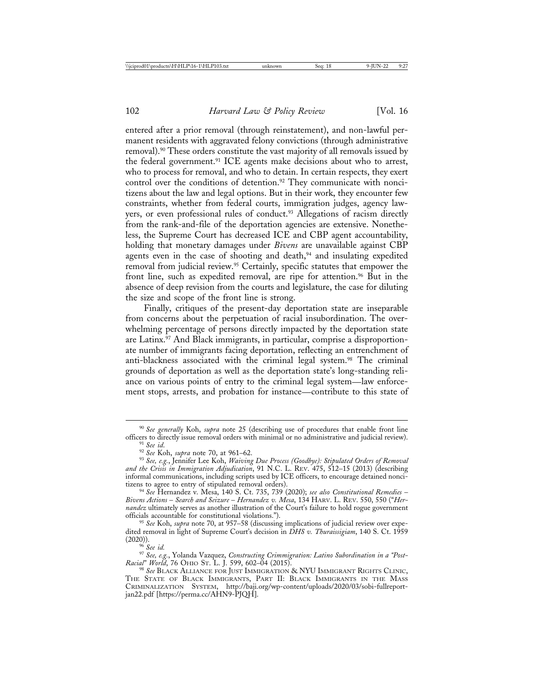entered after a prior removal (through reinstatement), and non-lawful permanent residents with aggravated felony convictions (through administrative removal).90 These orders constitute the vast majority of all removals issued by the federal government.91 ICE agents make decisions about who to arrest, who to process for removal, and who to detain. In certain respects, they exert control over the conditions of detention.<sup>92</sup> They communicate with noncitizens about the law and legal options. But in their work, they encounter few constraints, whether from federal courts, immigration judges, agency lawyers, or even professional rules of conduct.<sup>93</sup> Allegations of racism directly from the rank-and-file of the deportation agencies are extensive. Nonetheless, the Supreme Court has decreased ICE and CBP agent accountability, holding that monetary damages under *Bivens* are unavailable against CBP agents even in the case of shooting and death,<sup>94</sup> and insulating expedited removal from judicial review.95 Certainly, specific statutes that empower the front line, such as expedited removal, are ripe for attention.<sup>96</sup> But in the absence of deep revision from the courts and legislature, the case for diluting the size and scope of the front line is strong.

Finally, critiques of the present-day deportation state are inseparable from concerns about the perpetuation of racial insubordination. The overwhelming percentage of persons directly impacted by the deportation state are Latinx.<sup>97</sup> And Black immigrants, in particular, comprise a disproportionate number of immigrants facing deportation, reflecting an entrenchment of anti-blackness associated with the criminal legal system.98 The criminal grounds of deportation as well as the deportation state's long-standing reliance on various points of entry to the criminal legal system—law enforcement stops, arrests, and probation for instance—contribute to this state of

<sup>95</sup> See Koh, supra note 70, at 957–58 (discussing implications of judicial review over expedited removal in light of Supreme Court's decision in *DHS v. Thuraissigiam*, 140 S. Ct. 1959 (2020)). (2020)). <sup>96</sup> *See id.* <sup>97</sup> *See, e.g.*, Yolanda Vazquez, *Constructing Crimmigration: Latino Subordination in a "Post-*

<sup>&</sup>lt;sup>90</sup> See generally Koh, *supra* note 25 (describing use of procedures that enable front line officers to directly issue removal orders with minimal or no administrative and judicial review).

<sup>&</sup>lt;sup>91</sup> See id.<br><sup>92</sup> See Koh, *supra* note 70, at 961–62.<br><sup>93</sup> See, e.g., Jennifer Lee Koh, *Waiving Due Process (Goodbye): Stipulated Orders of Removal and the Crisis in Immigration Adjudication*, 91 N.C. L. REV. 475, 512–15 (2013) (describing informal communications, including scripts used by ICE officers, to encourage detained nonci-

<sup>&</sup>lt;sup>94</sup> See Hernandez v. Mesa, 140 S. Ct. 735, 739 (2020); see also Constitutional Remedies -*Bivens Actions* – *Search and Seizure* – *Hernandez v. Mesa*, 134 HARV. L. REV. 550, 550 ("*Hernandez* ultimately serves as another illustration of the Court's failure to hold rogue government

*Racial" World*, 76 OHIO ST. L. J. 599, 602–04 (2015). <sup>98</sup> *See* BLACK ALLIANCE FOR JUST IMMIGRATION & NYU IMMIGRANT RIGHTS CLINIC,

THE STATE OF BLACK IMMIGRANTS, PART II: BLACK IMMIGRANTS IN THE MASS CRIMINALIZATION SYSTEM, http://baji.org/wp-content/uploads/2020/03/sobi-fullreportjan22.pdf [https://perma.cc/AHN9-PJQH].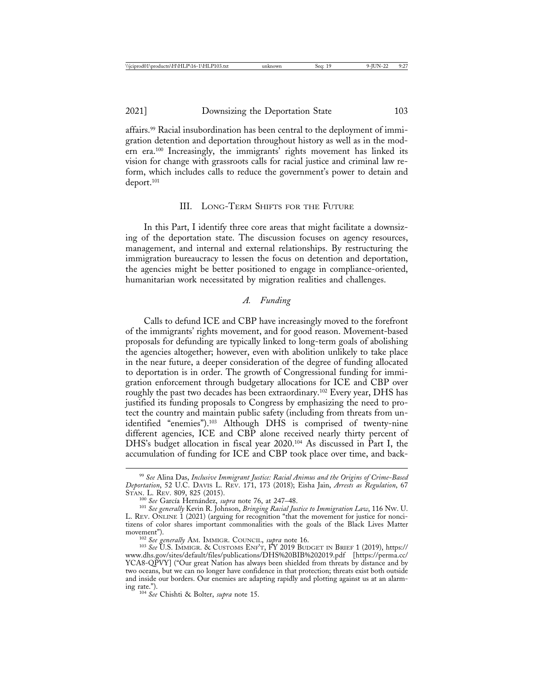affairs.99 Racial insubordination has been central to the deployment of immigration detention and deportation throughout history as well as in the modern era.100 Increasingly, the immigrants' rights movement has linked its vision for change with grassroots calls for racial justice and criminal law reform, which includes calls to reduce the government's power to detain and deport.101

### III. LONG-TERM SHIFTS FOR THE FUTURE

In this Part, I identify three core areas that might facilitate a downsizing of the deportation state. The discussion focuses on agency resources, management, and internal and external relationships. By restructuring the immigration bureaucracy to lessen the focus on detention and deportation, the agencies might be better positioned to engage in compliance-oriented, humanitarian work necessitated by migration realities and challenges.

## *A. Funding*

Calls to defund ICE and CBP have increasingly moved to the forefront of the immigrants' rights movement, and for good reason. Movement-based proposals for defunding are typically linked to long-term goals of abolishing the agencies altogether; however, even with abolition unlikely to take place in the near future, a deeper consideration of the degree of funding allocated to deportation is in order. The growth of Congressional funding for immigration enforcement through budgetary allocations for ICE and CBP over roughly the past two decades has been extraordinary.<sup>102</sup> Every year, DHS has justified its funding proposals to Congress by emphasizing the need to protect the country and maintain public safety (including from threats from unidentified "enemies").103 Although DHS is comprised of twenty-nine different agencies, ICE and CBP alone received nearly thirty percent of DHS's budget allocation in fiscal year 2020.104 As discussed in Part I, the accumulation of funding for ICE and CBP took place over time, and back-

<sup>99</sup> *See* Alina Das, *Inclusive Immigrant Justice: Racial Animus and the Origins of Crime-Based Deportation*, 52 U.C. DAVIS L. REV. 171, 173 (2018); Eisha Jain, *Arrests as Regulation*, 67

<sup>&</sup>lt;sup>100</sup> See García Hernández, *supra* note 76, at 247–48.<br><sup>101</sup> See generally Kevin R. Johnson, *Bringing Racial Justice to Immigration Law*, 116 Nw. U. L. REV. ONLINE 1 (2021) (arguing for recognition "that the movement for justice for noncitizens of color shares important commonalities with the goals of the Black Lives Matter

<sup>&</sup>lt;sup>102</sup> *See generally* Am. IMMIGR. COUNCIL, *supra* note 16. <sup>103</sup> *See U.S. IMMIGR. & CUSTOMS ENF'T, FY 2019 BUDGET IN BRIEF 1 (2019), https://* www.dhs.gov/sites/default/files/publications/DHS%20BIB%202019.pdf [https://perma.cc/ YCA8-QPVY] ("Our great Nation has always been shielded from threats by distance and by two oceans, but we can no longer have confidence in that protection; threats exist both outside and inside our borders. Our enemies are adapting rapidly and plotting against us at an alarm-<br>ing rate.").

<sup>&</sup>lt;sup>104</sup> See Chishti & Bolter, *supra* note 15.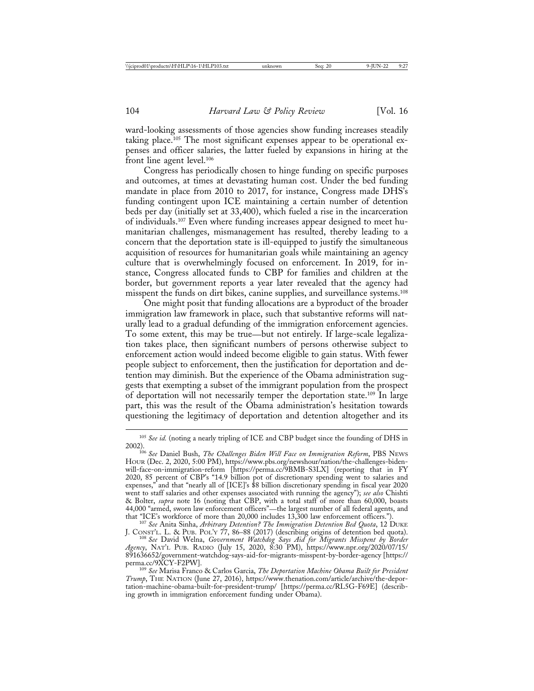ward-looking assessments of those agencies show funding increases steadily taking place.<sup>105</sup> The most significant expenses appear to be operational expenses and officer salaries, the latter fueled by expansions in hiring at the front line agent level.106

Congress has periodically chosen to hinge funding on specific purposes and outcomes, at times at devastating human cost. Under the bed funding mandate in place from 2010 to 2017, for instance, Congress made DHS's funding contingent upon ICE maintaining a certain number of detention beds per day (initially set at 33,400), which fueled a rise in the incarceration of individuals.107 Even where funding increases appear designed to meet humanitarian challenges, mismanagement has resulted, thereby leading to a concern that the deportation state is ill-equipped to justify the simultaneous acquisition of resources for humanitarian goals while maintaining an agency culture that is overwhelmingly focused on enforcement. In 2019, for instance, Congress allocated funds to CBP for families and children at the border, but government reports a year later revealed that the agency had misspent the funds on dirt bikes, canine supplies, and surveillance systems.108

One might posit that funding allocations are a byproduct of the broader immigration law framework in place, such that substantive reforms will naturally lead to a gradual defunding of the immigration enforcement agencies. To some extent, this may be true—but not entirely. If large-scale legalization takes place, then significant numbers of persons otherwise subject to enforcement action would indeed become eligible to gain status. With fewer people subject to enforcement, then the justification for deportation and detention may diminish. But the experience of the Obama administration suggests that exempting a subset of the immigrant population from the prospect of deportation will not necessarily temper the deportation state.109 In large part, this was the result of the Obama administration's hesitation towards questioning the legitimacy of deportation and detention altogether and its

<sup>105</sup> *See id.* (noting a nearly tripling of ICE and CBP budget since the founding of DHS in

<sup>2002).</sup> <sup>106</sup> *See* Daniel Bush, *The Challenges Biden Will Face on Immigration Reform*, PBS NEWS HOUR (Dec. 2, 2020, 5:00 PM), https://www.pbs.org/newshour/nation/the-challenges-bidenwill-face-on-immigration-reform [https://perma.cc/9BMB-S3LX] (reporting that in FY 2020, 85 percent of CBP's "14.9 billion pot of discretionary spending went to salaries and expenses," and that "nearly all of [ICE]'s \$8 billion discretionary spending in fiscal year 2020 went to staff salaries and other expenses associated with running the agency"); *see also* Chishti & Bolter, *supra* note 16 (noting that CBP, with a total staff of more than 60,000, boasts 44,000 "armed, sworn law enforcement officers"—the largest number of all federal agents, and

that "ICE's workforce of more than 20,000 includes 13,300 law enforcement officers."). <sup>107</sup> *See* Anita Sinha, *Arbitrary Detention? The Immigration Detention Bed Quota*, 12 DUKE J. CONST'L. L. & PUB. POL'Y 77, 86–88 (2017) (describing origins of detention bed quota). <sup>108</sup> *See* David Welna, *Government Watchdog Says Aid for Migrants Misspent by Border*

*Agency*, NAT'L PUB. RADIO (July 15, 2020, 8:30 PM), https://www.npr.org/2020/07/15/ 891636652/government-watchdog-says-aid-for-migrants-misspent-by-border-agency [https://

<sup>&</sup>lt;sup>109</sup> See Marisa Franco & Carlos Garcia, *The Deportation Machine Obama Built for President Trump*, THE NATION (June 27, 2016), https://www.thenation.com/article/archive/the-deportation-machine-obama-built-for-president-trump/ [https://perma.cc/RL5G-F69E] (describing growth in immigration enforcement funding under Obama).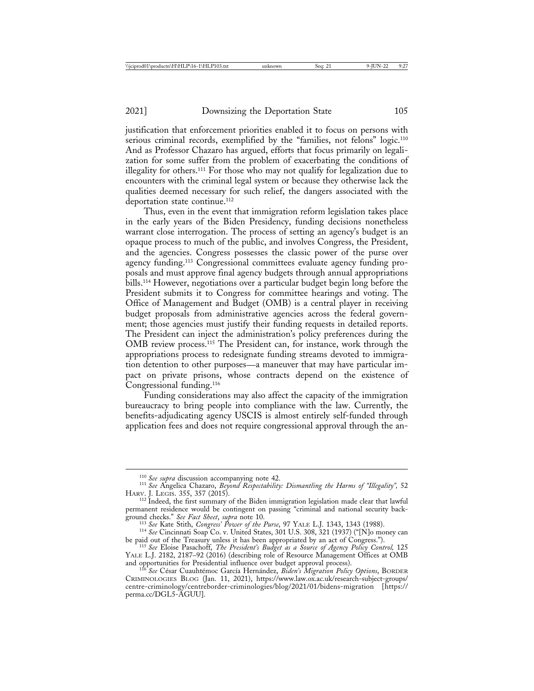justification that enforcement priorities enabled it to focus on persons with serious criminal records, exemplified by the "families, not felons" logic.<sup>110</sup> And as Professor Chazaro has argued, efforts that focus primarily on legalization for some suffer from the problem of exacerbating the conditions of illegality for others.111 For those who may not qualify for legalization due to encounters with the criminal legal system or because they otherwise lack the qualities deemed necessary for such relief, the dangers associated with the deportation state continue.112

Thus, even in the event that immigration reform legislation takes place in the early years of the Biden Presidency, funding decisions nonetheless warrant close interrogation. The process of setting an agency's budget is an opaque process to much of the public, and involves Congress, the President, and the agencies. Congress possesses the classic power of the purse over agency funding.113 Congressional committees evaluate agency funding proposals and must approve final agency budgets through annual appropriations bills.114 However, negotiations over a particular budget begin long before the President submits it to Congress for committee hearings and voting. The Office of Management and Budget (OMB) is a central player in receiving budget proposals from administrative agencies across the federal government; those agencies must justify their funding requests in detailed reports. The President can inject the administration's policy preferences during the OMB review process.115 The President can, for instance, work through the appropriations process to redesignate funding streams devoted to immigration detention to other purposes—a maneuver that may have particular impact on private prisons, whose contracts depend on the existence of Congressional funding.116

Funding considerations may also affect the capacity of the immigration bureaucracy to bring people into compliance with the law. Currently, the benefits-adjudicating agency USCIS is almost entirely self-funded through application fees and does not require congressional approval through the an-

<sup>&</sup>lt;sup>110</sup> *See supra* discussion accompanying note 42.<br><sup>111</sup> *See* Angelica Chazaro, *Beyond Respectability: Dismantling the Harms of "Illegality",* 52<br>HARV. J. LEGIS. 355, 357 (2015).

<sup>&</sup>lt;sup>112</sup> Indeed, the first summary of the Biden immigration legislation made clear that lawful permanent residence would be contingent on passing "criminal and national security background checks." See Fact Sheet, supra note 10.<br>
<sup>113</sup> See Kate Stith, *Congress' Power of the Purse*, 97 YALE L.J. 1343, 1343 (1988).<br>
<sup>114</sup> See Cincinnati Soap Co. v. United States, 301 U.S. 308, 321 (1937) ("[N]o money c

be paid out of the Treasury unless it has been appropriated by an act of Congress."). <sup>115</sup> *See* Eloise Pasachoff, *The President's Budget as a Source of Agency Policy Control,* <sup>125</sup>

YALE L.J. 2182, 2187–92 (2016) (describing role of Resource Management Offices at OMB and opportunities for Presidential influence over budget approval process).<br><sup>116</sup> See César Cuauhtémoc García Hernández, *Biden's Migration Policy Options*, BORDER

CRIMINOLOGIES BLOG (Jan. 11, 2021), https://www.law.ox.ac.uk/research-subject-groups/ centre-criminology/centreborder-criminologies/blog/2021/01/bidens-migration [https:// perma.cc/DGL5-AGUU].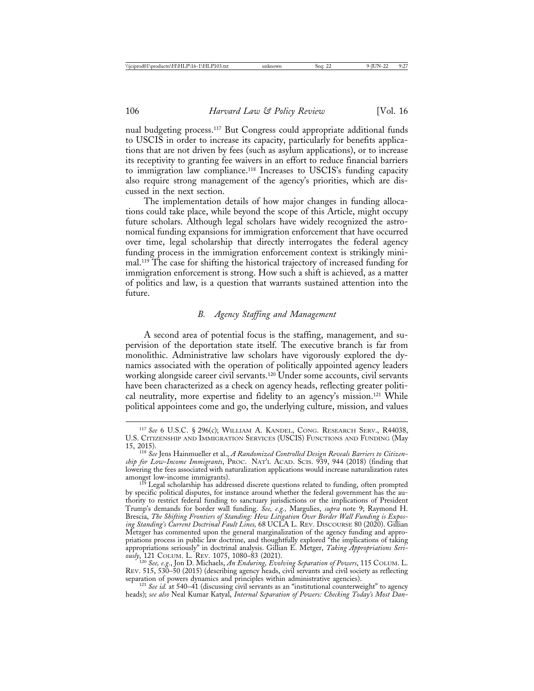nual budgeting process.117 But Congress could appropriate additional funds to USCIS in order to increase its capacity, particularly for benefits applications that are not driven by fees (such as asylum applications), or to increase its receptivity to granting fee waivers in an effort to reduce financial barriers to immigration law compliance.118 Increases to USCIS's funding capacity also require strong management of the agency's priorities, which are discussed in the next section.

The implementation details of how major changes in funding allocations could take place, while beyond the scope of this Article, might occupy future scholars. Although legal scholars have widely recognized the astronomical funding expansions for immigration enforcement that have occurred over time, legal scholarship that directly interrogates the federal agency funding process in the immigration enforcement context is strikingly minimal.119 The case for shifting the historical trajectory of increased funding for immigration enforcement is strong. How such a shift is achieved, as a matter of politics and law, is a question that warrants sustained attention into the future.

### *B. Agency Staffing and Management*

A second area of potential focus is the staffing, management, and supervision of the deportation state itself. The executive branch is far from monolithic. Administrative law scholars have vigorously explored the dynamics associated with the operation of politically appointed agency leaders working alongside career civil servants.120 Under some accounts, civil servants have been characterized as a check on agency heads, reflecting greater political neutrality, more expertise and fidelity to an agency's mission.<sup>121</sup> While political appointees come and go, the underlying culture, mission, and values

<sup>117</sup> *See* 6 U.S.C. § 296(c); WILLIAM A. KANDEL, CONG. RESEARCH SERV., R44038, U.S. CITIZENSHIP AND IMMIGRATION SERVICES (USCIS) FUNCTIONS AND FUNDING (May

<sup>15, 2015).</sup> <sup>118</sup> *See* Jens Hainmueller et al., *A Randomized Controlled Design Reveals Barriers to Citizenship for Low-Income Immigrants*, PROC. NAT'L ACAD. SCIS. 939, 944 (2018) (finding that lowering the fees associated with naturalization applications would increase naturalization rates

<sup>&</sup>lt;sup>119</sup> Legal scholarship has addressed discrete questions related to funding, often prompted by specific political disputes, for instance around whether the federal government has the authority to restrict federal funding to sanctuary jurisdictions or the implications of President Trump's demands for border wall funding. *See, e.g.,* Margulies, *supra* note 9; Raymond H. Brescia, *The Shifting Frontiers of Standing: How Litigation Over Border Wall Funding is Exposing Standing's Current Doctrinal Fault Lines,* 68 UCLA L. REV. DISCOURSE 80 (2020). Gillian Metzger has commented upon the general marginalization of the agency funding and appropriations process in public law doctrine, and thoughtfully explored "the implications of taking appropriations seriously" in doctrinal analysis. Gillian E. Metger, *Taking Appropriations Seriously*, 121 COLUM. L. REV. 1075, 1080–83 (2021). <sup>120</sup> *See, e.g.*, Jon D. Michaels, *An Enduring, Evolving Separation of Powers*, 115 COLUM. L.

REV. 515, 530–50 (2015) (describing agency heads, civil servants and civil society as reflecting<br>separation of powers dynamics and principles within administrative agencies).

<sup>&</sup>lt;sup>121</sup> See id. at 540–41 (discussing civil servants as an "institutional counterweight" to agency heads); *see also* Neal Kumar Katyal, *Internal Separation of Powers: Checking Today's Most Dan-*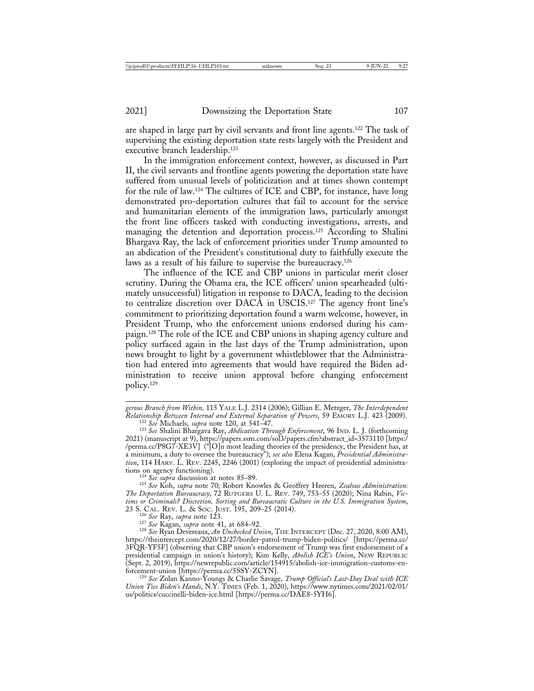are shaped in large part by civil servants and front line agents.122 The task of supervising the existing deportation state rests largely with the President and executive branch leadership.123

In the immigration enforcement context, however, as discussed in Part II, the civil servants and frontline agents powering the deportation state have suffered from unusual levels of politicization and at times shown contempt for the rule of law.124 The cultures of ICE and CBP, for instance, have long demonstrated pro-deportation cultures that fail to account for the service and humanitarian elements of the immigration laws, particularly amongst the front line officers tasked with conducting investigations, arrests, and managing the detention and deportation process.125 According to Shalini Bhargava Ray, the lack of enforcement priorities under Trump amounted to an abdication of the President's constitutional duty to faithfully execute the laws as a result of his failure to supervise the bureaucracy.<sup>126</sup>

The influence of the ICE and CBP unions in particular merit closer scrutiny. During the Obama era, the ICE officers' union spearheaded (ultimately unsuccessful) litigation in response to DACA, leading to the decision to centralize discretion over DACA in USCIS.127 The agency front line's commitment to prioritizing deportation found a warm welcome, however, in President Trump, who the enforcement unions endorsed during his campaign.128 The role of the ICE and CBP unions in shaping agency culture and policy surfaced again in the last days of the Trump administration, upon news brought to light by a government whistleblower that the Administration had entered into agreements that would have required the Biden administration to receive union approval before changing enforcement policy.129

<sup>122</sup> See Michaels, *supra* note 120, at 541–47.<br><sup>123</sup> See Shalini Bhargava Ray, *Abdication Through Enforcement*, 96 IND. L. J. (forthcoming 2021) (manuscript at 9), https://papers.ssrn.com/sol3/papers.cfm?abstract\_id=3573110 [https:/ /perma.cc/P8G7-XE3V] ("[O]n most leading theories of the presidency, the President has, at a minimum, a duty to oversee the bureaucracy"); *see also* Elena Kagan, *Presidential Administration*, 114 HARV. L. REV. 2245, 2246 (2001) (exploring the impact of presidential administrations on agency functioning).

tions on agency functioning). <sup>124</sup> *See supra* discussion at notes 85–89. <sup>125</sup> *See* Koh, *supra* note 70; Robert Knowles & Geoffrey Heeren, *Zealous Administration: The Deportation Bureaucracy*, 72 RUTGERS U. L. REV. 749, 753–55 (2020); Nina Rabin, *Victims or Criminals? Discretion, Sorting and Bureaucratic Culture in the U.S. Immigration System*,

<sup>126</sup> See Ray, supra note 123.<br><sup>127</sup> See Kagan, *supra* note 41, at 684–92.<br><sup>128</sup> See Ryan Devereaux, An Unchecked Union, THE INTERCEPT (Dec. 27, 2020, 8:00 AM), https://theintercept.com/2020/12/27/border-patrol-trump-biden-politics/ [https://perma.cc/ 3FQR-YF5F] (observing that CBP union's endorsement of Trump was first endorsement of a presidential campaign in union's history); Kim Kelly, *Abolish ICE's Union*, NEW REPUBLIC (Sept. 2, 2019), https://newrepublic.com/article/154915/abolish-ice-immigration-customs-enforcement-union [https://perma.cc/5SSY-ZCYN]. <sup>129</sup> *See* Zolan Kanno-Youngs & Charlie Savage, *Trump Official's Last-Day Deal with ICE*

*Union Ties Biden's Hands*, N.Y. TIMES (Feb. 1, 2020), https://www.nytimes.com/2021/02/01/ us/politics/cuccinelli-biden-ice.html [https://perma.cc/DAE8-5YH6].

*gerous Branch from Within,* 115 YALE L.J. 2314 (2006); Gillian E. Metzger, *The Interdependent*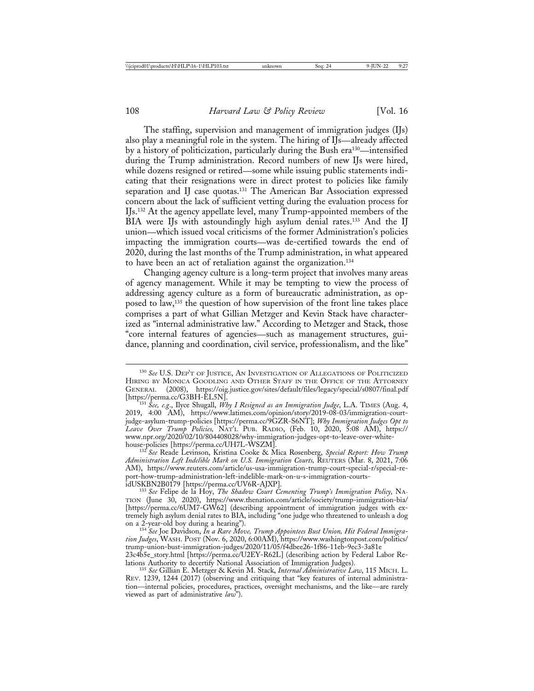The staffing, supervision and management of immigration judges (IJs) also play a meaningful role in the system. The hiring of IJs—already affected by a history of politicization, particularly during the Bush era130—intensified during the Trump administration. Record numbers of new IJs were hired, while dozens resigned or retired—some while issuing public statements indicating that their resignations were in direct protest to policies like family separation and IJ case quotas.<sup>131</sup> The American Bar Association expressed concern about the lack of sufficient vetting during the evaluation process for IJs.132 At the agency appellate level, many Trump-appointed members of the BIA were IJs with astoundingly high asylum denial rates.133 And the IJ union—which issued vocal criticisms of the former Administration's policies impacting the immigration courts—was de-certified towards the end of 2020, during the last months of the Trump administration, in what appeared to have been an act of retaliation against the organization.134

Changing agency culture is a long-term project that involves many areas of agency management. While it may be tempting to view the process of addressing agency culture as a form of bureaucratic administration, as opposed to law,135 the question of how supervision of the front line takes place comprises a part of what Gillian Metzger and Kevin Stack have characterized as "internal administrative law." According to Metzger and Stack, those "core internal features of agencies—such as management structures, guidance, planning and coordination, civil service, professionalism, and the like"

house-policies [https://perma.cc/UH7L-WSZM]. <sup>132</sup> *See* Reade Levinson, Kristina Cooke & Mica Rosenberg, *Special Report: How Trump Administration Left Indelible Mark on U.S. Immigration Courts,* REUTERS (Mar. 8, 2021, 7:06 AM), https://www.reuters.com/article/us-usa-immigration-trump-court-special-r/special-report-how-trump-administration-left-indelible-mark-on-u-s-immigration-courts-

133 See Felipe de la Hoy, *The Shadow Court Cementing Trump's Immigration Policy*, NA-TION (June 30, 2020), https://www.thenation.com/article/society/trump-immigration-bia/ [https://perma.cc/6UM7-GW62] (describing appointment of immigration judges with extremely high asylum denial rates to BIA, including "one judge who threatened to unleash a dog on a 2-year-old boy during a hearing"). <sup>134</sup> *See* Joe Davidson, *In a Rare Move, Trump Appointees Bust Union, Hit Federal Immigra-*

*tion Judges*, WASH. POST (Nov. 6, 2020, 6:00AM), https://www.washingtonpost.com/politics/ trump-union-bust-immigration-judges/2020/11/05/f4dbee26-1f86-11eb-9ec3-3a81e 23c4b5e\_story.html [https://perma.cc/U2EY-R62L] (describing action by Federal Labor Relations Authority to decertify National Association of Immigration Judges).

lations Authority to decertify National Association of Immigration Judges). <sup>135</sup> *See* Gillian E. Metzger & Kevin M. Stack, *Internal Administrative Law*, 115 MICH. L. REV. 1239, 1244 (2017) (observing and critiquing that "key features of internal administration—internal policies, procedures, practices, oversight mechanisms, and the like—are rarely viewed as part of administrative *law*").

<sup>130</sup> *See* U.S. DEP'T OF JUSTICE, AN INVESTIGATION OF ALLEGATIONS OF POLITICIZED HIRING BY MONICA GOODLING AND OTHER STAFF IN THE OFFICE OF THE ATTORNEY GENERAL (2008), https://oig.justice.gov/sites/default/files/legacy/special/s0807/final.pdf [https://perma.cc/G3BH-EL5N]. <sup>131</sup> *See, e.g*., Ilyce Shugall, *Why I Resigned as an Immigration Judge*, L.A. TIMES (Aug. 4,

<sup>2019, 4:00</sup> AM), https://www.latimes.com/opinion/story/2019-08-03/immigration-courtjudge-asylum-trump-policies [https://perma.cc/9GZR-S6NT]; *Why Immigration Judges Opt to Leave Over Trump Policies,* NAT'L PUB. RADIO, (Feb. 10, 2020, 5:08 AM), https:// www.npr.org/2020/02/10/804408028/why-immigration-judges-opt-to-leave-over-white-<br>house-policies [https://perma.cc/UH7L-WSZM].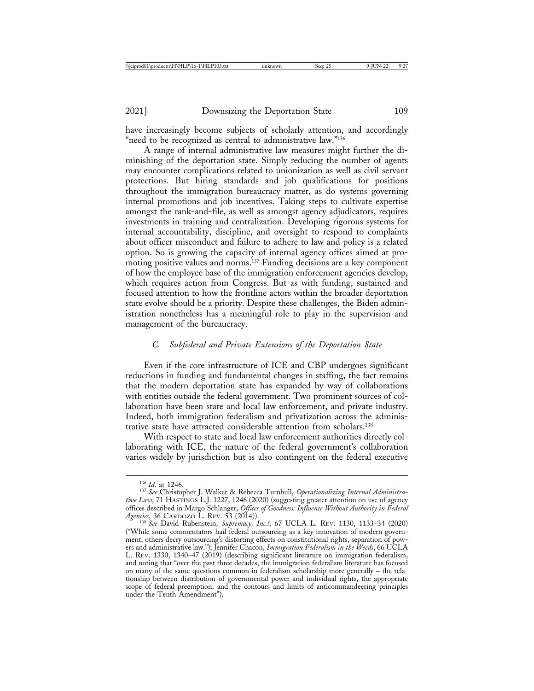have increasingly become subjects of scholarly attention, and accordingly "need to be recognized as central to administrative law."<sup>136</sup>

A range of internal administrative law measures might further the diminishing of the deportation state. Simply reducing the number of agents may encounter complications related to unionization as well as civil servant protections. But hiring standards and job qualifications for positions throughout the immigration bureaucracy matter, as do systems governing internal promotions and job incentives. Taking steps to cultivate expertise amongst the rank-and-file, as well as amongst agency adjudicators, requires investments in training and centralization. Developing rigorous systems for internal accountability, discipline, and oversight to respond to complaints about officer misconduct and failure to adhere to law and policy is a related option. So is growing the capacity of internal agency offices aimed at promoting positive values and norms.137 Funding decisions are a key component of how the employee base of the immigration enforcement agencies develop, which requires action from Congress. But as with funding, sustained and focused attention to how the frontline actors within the broader deportation state evolve should be a priority. Despite these challenges, the Biden administration nonetheless has a meaningful role to play in the supervision and management of the bureaucracy.

### *C. Subfederal and Private Extensions of the Deportation State*

Even if the core infrastructure of ICE and CBP undergoes significant reductions in funding and fundamental changes in staffing, the fact remains that the modern deportation state has expanded by way of collaborations with entities outside the federal government. Two prominent sources of collaboration have been state and local law enforcement, and private industry. Indeed, both immigration federalism and privatization across the administrative state have attracted considerable attention from scholars.138

With respect to state and local law enforcement authorities directly collaborating with ICE, the nature of the federal government's collaboration varies widely by jurisdiction but is also contingent on the federal executive

<sup>&</sup>lt;sup>136</sup> *Id.* at 1246.<br><sup>137</sup> See Christopher J. Walker & Rebecca Turnbull, *Operationalizing Internal Administrative Law*, 71 HASTINGS L.J. 1227, 1246 (2020) (suggesting greater attention on use of agency offices described in Margo Schlanger, *Offices of Goodness: Influence Without Authority in Federal*

<sup>&</sup>lt;sup>138</sup> See David Rubenstein, Supremacy, Inc.<sup>1</sup>, 67 UCLA L. REV. 1130, 1133-34 (2020) ("While some commentators hail federal outsourcing as a key innovation of modern government, others decry outsourcing's distorting effects on constitutional rights, separation of powers and administrative law."); Jennifer Chacon, *Immigration Federalism in the Weeds*, 66 UCLA L. REV. 1330, 1340–47 (2019) (describing significant literature on immigration federalism, and noting that "over the past three decades, the immigration federalism literature has focused on many of the same questions common in federalism scholarship more generally – the relationship between distribution of governmental power and individual rights, the appropriate scope of federal preemption, and the contours and limits of anticommandeering principles under the Tenth Amendment").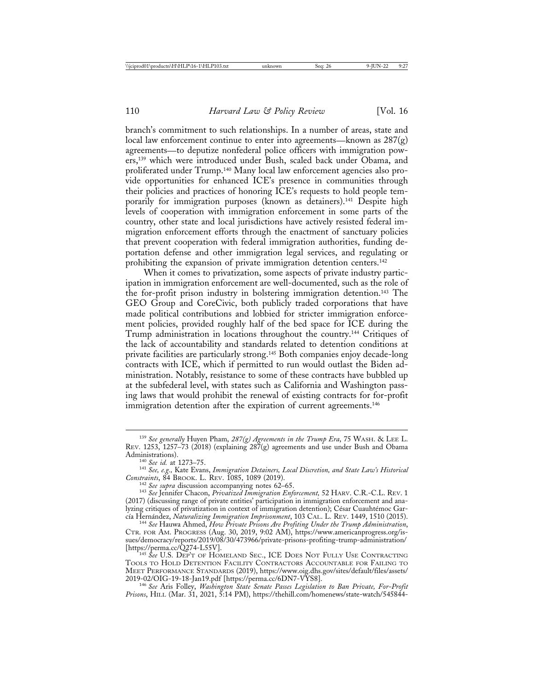branch's commitment to such relationships. In a number of areas, state and local law enforcement continue to enter into agreements—known as  $287(g)$ agreements—to deputize nonfederal police officers with immigration powers,139 which were introduced under Bush, scaled back under Obama, and proliferated under Trump.140 Many local law enforcement agencies also provide opportunities for enhanced ICE's presence in communities through their policies and practices of honoring ICE's requests to hold people temporarily for immigration purposes (known as detainers).<sup>141</sup> Despite high levels of cooperation with immigration enforcement in some parts of the country, other state and local jurisdictions have actively resisted federal immigration enforcement efforts through the enactment of sanctuary policies that prevent cooperation with federal immigration authorities, funding deportation defense and other immigration legal services, and regulating or prohibiting the expansion of private immigration detention centers.<sup>142</sup>

When it comes to privatization, some aspects of private industry participation in immigration enforcement are well-documented, such as the role of the for-profit prison industry in bolstering immigration detention.143 The GEO Group and CoreCivic, both publicly traded corporations that have made political contributions and lobbied for stricter immigration enforcement policies, provided roughly half of the bed space for ICE during the Trump administration in locations throughout the country.144 Critiques of the lack of accountability and standards related to detention conditions at private facilities are particularly strong.145 Both companies enjoy decade-long contracts with ICE, which if permitted to run would outlast the Biden administration. Notably, resistance to some of these contracts have bubbled up at the subfederal level, with states such as California and Washington passing laws that would prohibit the renewal of existing contracts for for-profit immigration detention after the expiration of current agreements.<sup>146</sup>

<sup>139</sup> *See generally* Huyen Pham, *287(g) Agreements in the Trump Era*, 75 WASH. & LEE L. REV. 1253, 1257–73 (2018) (explaining 287(g) agreements and use under Bush and Obama<br>Administrations).

Administrations). <sup>140</sup> *See id.* at 1273–75. <sup>141</sup> *See, e.g.,* Kate Evans, *Immigration Detainers, Local Discretion, and State Law's Historical*

<sup>&</sup>lt;sup>142</sup> See supra discussion accompanying notes 62–65.<br><sup>143</sup> See Jennifer Chacon, *Privatized Immigration Enforcement,* 52 HARV. C.R.-C.L. REV. 1 (2017) (discussing range of private entities' participation in immigration enforcement and analyzing critiques of privatization in context of immigration detention); César Cuauhtémoc Gar-<br>cía Hernández, *Naturalizing Immigration Imprisonment*, 103 CAL. L. REV. 1449, 1510 (2015).

<sup>&</sup>lt;sup>144</sup> See Hauwa Ahmed, *How Private Prisons Are Profiting Under the Trump Administration*, CTR. FOR AM. PROGRESS (Aug. 30, 2019, 9:02 AM), https://www.americanprogress.org/issues/democracy/reports/2019/08/30/473966/private-prisons-profiting-trump-administration/ [https://perma.cc/Q274-L55V]. <sup>145</sup> *See* U.S. DEP'T OF HOMELAND SEC., ICE DOES NOT FULLY USE CONTRACTING

TOOLS TO HOLD DETENTION FACILITY CONTRACTORS ACCOUNTABLE FOR FAILING TO MEET PERFORMANCE STANDARDS (2019), https://www.oig.dhs.gov/sites/default/files/assets/

<sup>&</sup>lt;sup>146</sup> See Aris Folley, *Washington* State Senate Passes Legislation to Ban Private, For-Profit *Prisons*, HILL (Mar. 31, 2021, 5:14 PM), https://thehill.com/homenews/state-watch/545844-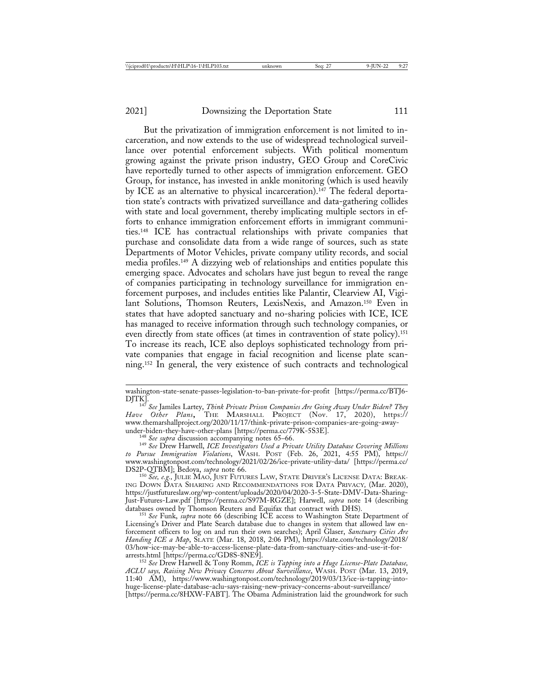But the privatization of immigration enforcement is not limited to incarceration, and now extends to the use of widespread technological surveillance over potential enforcement subjects. With political momentum growing against the private prison industry, GEO Group and CoreCivic have reportedly turned to other aspects of immigration enforcement. GEO Group, for instance, has invested in ankle monitoring (which is used heavily by ICE as an alternative to physical incarceration).<sup>147</sup> The federal deportation state's contracts with privatized surveillance and data-gathering collides with state and local government, thereby implicating multiple sectors in efforts to enhance immigration enforcement efforts in immigrant communities.148 ICE has contractual relationships with private companies that purchase and consolidate data from a wide range of sources, such as state Departments of Motor Vehicles, private company utility records, and social media profiles.149 A dizzying web of relationships and entities populate this emerging space. Advocates and scholars have just begun to reveal the range of companies participating in technology surveillance for immigration enforcement purposes, and includes entities like Palantir, Clearview AI, Vigilant Solutions, Thomson Reuters, LexisNexis, and Amazon.150 Even in states that have adopted sanctuary and no-sharing policies with ICE, ICE has managed to receive information through such technology companies, or even directly from state offices (at times in contravention of state policy).<sup>151</sup> To increase its reach, ICE also deploys sophisticated technology from private companies that engage in facial recognition and license plate scanning.152 In general, the very existence of such contracts and technological

washington-state-senate-passes-legislation-to-ban-private-for-profit [https://perma.cc/BTJ6- DJTK]. <sup>147</sup> *See* Jamiles Lartey, *Think Private Prison Companies Are Going Away Under Biden? They*

*Have Other Plans*, THE MARSHALL PROJECT (Nov. 17, 2020), https:// www.themarshallproject.org/2020/11/17/think-private-prison-companies-are-going-away-

<sup>&</sup>lt;sup>148</sup> See supra discussion accompanying notes 65–66.<br><sup>149</sup> See Drew Harwell, ICE Investigators Used a Private Utility Database Covering Millions *to Pursue Immigration Violations*, WASH. POST (Feb. 26, 2021, 4:55 PM), https:// www.washingtonpost.com/technology/2021/02/26/ice-private-utility-data/ [https://perma.cc/<br>DS2P-QTBM]; Bedoya, *supra* note 66.

<sup>&</sup>lt;sup>150</sup> See, e.g., JULIE MAO, JUST FUTURES LAW, STATE DRIVER'S LICENSE DATA: BREAK-ING DOWN DATA SHARING AND RECOMMENDATIONS FOR DATA PRIVACY*,* (Mar. 2020), https://justfutureslaw.org/wp-content/uploads/2020/04/2020-3-5-State-DMV-Data-Sharing-Just-Futures-Law.pdf [https://perma.cc/S97M-RGZE]; Harwell, *supra* note 14 (describing databases owned by Thomson Reuters and Equifax that contract with DHS). <sup>151</sup> *See* Funk, *supra* note 66 (describing ICE access to Washington State Department of

Licensing's Driver and Plate Search database due to changes in system that allowed law enforcement officers to log on and run their own searches); April Glaser, *Sanctuary Cities Are Handing ICE a Map*, SLATE (Mar. 18, 2018, 2:06 PM), https://slate.com/technology/2018/ 03/how-ice-may-be-able-to-access-license-plate-data-from-sanctuary-cities-and-use-it-for-<br>arrests.html [https://perma.cc/GD8S-8NE9].

<sup>&</sup>lt;sup>152</sup> See Drew Harwell & Tony Romm, *ICE is Tapping into a Huge License-Plate Database*, *ACLU says, Raising New Privacy Concerns About Surveillance*, WASH. POST (Mar. 13, 2019, 11:40 AM), https://www.washingtonpost.com/technology/2019/03/13/ice-is-tapping-intohuge-license-plate-database-aclu-says-raising-new-privacy-concerns-about-surveillance/ [https://perma.cc/8HXW-FABT]. The Obama Administration laid the groundwork for such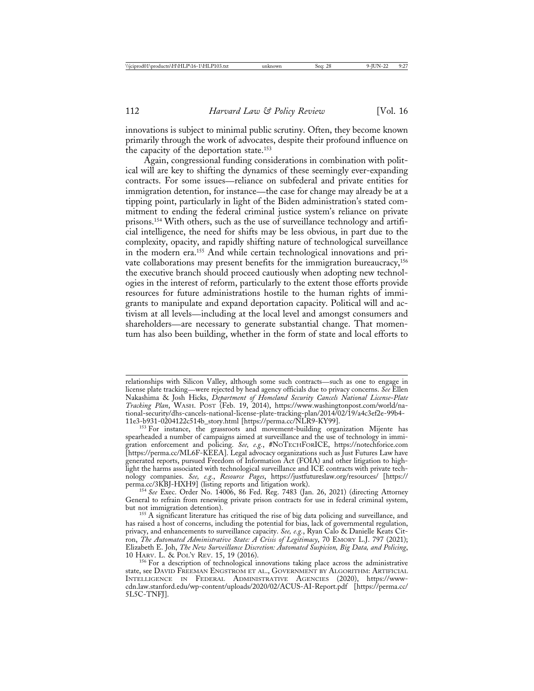innovations is subject to minimal public scrutiny. Often, they become known primarily through the work of advocates, despite their profound influence on the capacity of the deportation state.153

Again, congressional funding considerations in combination with political will are key to shifting the dynamics of these seemingly ever-expanding contracts. For some issues—reliance on subfederal and private entities for immigration detention, for instance—the case for change may already be at a tipping point, particularly in light of the Biden administration's stated commitment to ending the federal criminal justice system's reliance on private prisons.154 With others, such as the use of surveillance technology and artificial intelligence, the need for shifts may be less obvious, in part due to the complexity, opacity, and rapidly shifting nature of technological surveillance in the modern era.155 And while certain technological innovations and private collaborations may present benefits for the immigration bureaucracy,<sup>156</sup> the executive branch should proceed cautiously when adopting new technologies in the interest of reform, particularly to the extent those efforts provide resources for future administrations hostile to the human rights of immigrants to manipulate and expand deportation capacity. Political will and activism at all levels—including at the local level and amongst consumers and shareholders—are necessary to generate substantial change. That momentum has also been building, whether in the form of state and local efforts to

<sup>154</sup> See Exec. Order No. 14006, 86 Fed. Reg. 7483 (Jan. 26, 2021) (directing Attorney General to refrain from renewing private prison contracts for use in federal criminal system,

<sup>155</sup> A significant literature has critiqued the rise of big data policing and surveillance, and has raised a host of concerns, including the potential for bias, lack of governmental regulation, privacy, and enhancements to surveillance capacity. *See, e.g.*, Ryan Calo & Danielle Keats Citron, *The Automated Administrative State: A Crisis of Legitimacy*, 70 EMORY L.J. 797 (2021); Elizabeth E. Joh, *The New Surveillance Discretion: Automated Suspicion, Big Data, and Policing*,

relationships with Silicon Valley, although some such contracts—such as one to engage in license plate tracking—were rejected by head agency officials due to privacy concerns. *See* Ellen Nakashima & Josh Hicks, *Department of Homeland Security Cancels National License-Plate Tracking Plan*, WASH. POST (Feb. 19, 2014), https://www.washingtonpost.com/world/national-security/dhs-cancels-national-license-plate-tracking-plan/2014/02/19/a4c3ef2e-99b4-

<sup>&</sup>lt;sup>153</sup> For instance, the grassroots and movement-building organization Mijente has spearheaded a number of campaigns aimed at surveillance and the use of technology in immigration enforcement and policing. *See, e.g.*, #NOTECHFORICE, https://notechforice.com [https://perma.cc/ML6F-KEEA]. Legal advocacy organizations such as Just Futures Law have generated reports, pursued Freedom of Information Act (FOIA) and other litigation to highlight the harms associated with technological surveillance and ICE contracts with private technology companies. *See, e.g.*, *Resource Pages*, https://justfutureslaw.org/resources/ [https://

<sup>&</sup>lt;sup>156</sup> For a description of technological innovations taking place across the administrative state, see DAVID FREEMAN ENGSTROM ET AL., GOVERNMENT BY ALGORITHM: ARTIFICIAL INTELLIGENCE IN FEDERAL ADMINISTRATIVE AGENCIES (2020), https://wwwcdn.law.stanford.edu/wp-content/uploads/2020/02/ACUS-AI-Report.pdf [https://perma.cc/ 5L5C-TNFJ].